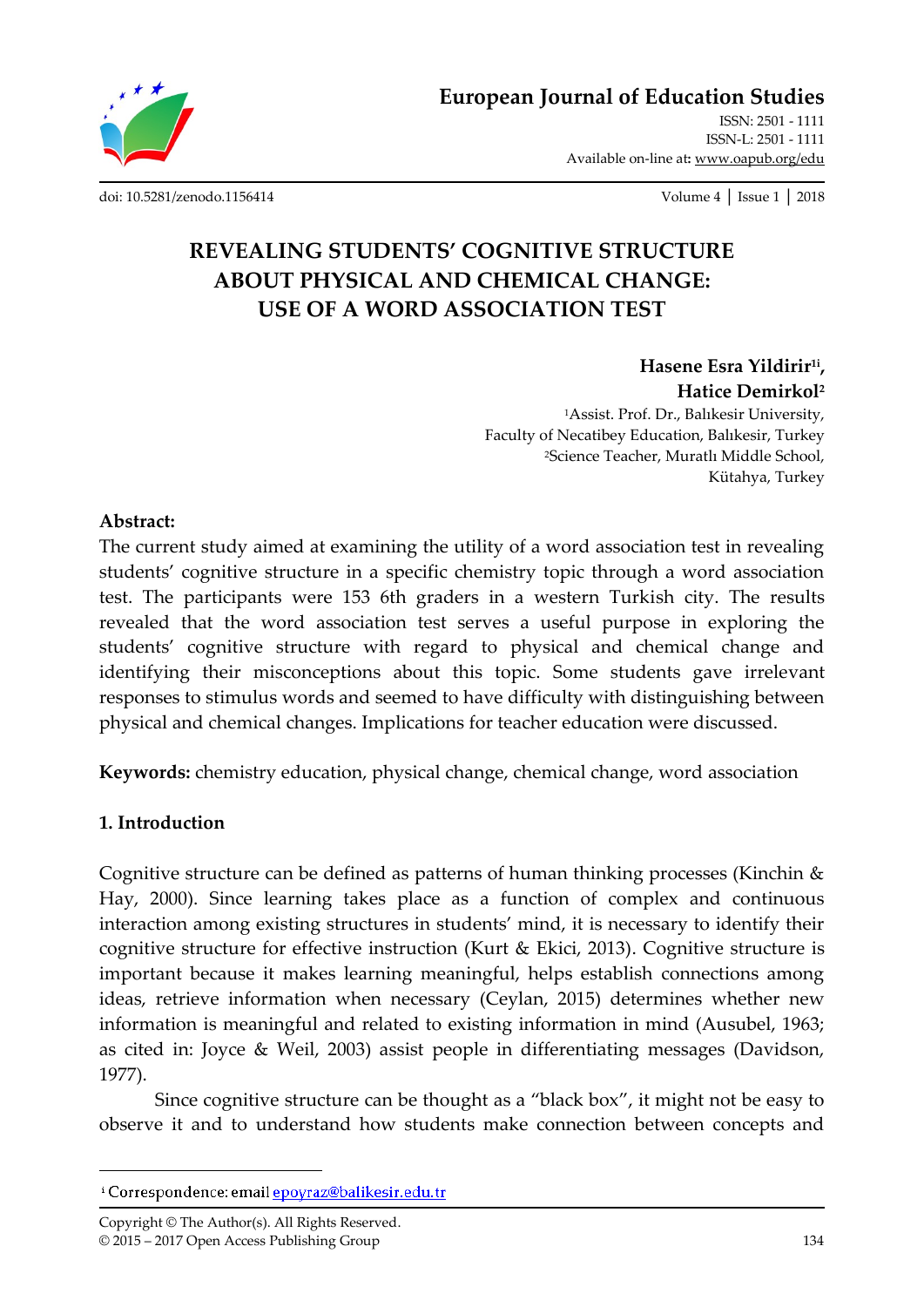**European Journal of Education Studies**

ISSN: 2501 - 1111 ISSN-L: 2501 - 1111 Available on-line at**:** www.oapub.org/edu

[doi: 10.5281/zenodo.1156414](http://dx.doi.org/10.5281/zenodo.1156414) Volume 4 │ Issue 1 │ 2018

# **REVEALING STUDENTS' COGNITIVE STRUCTURE ABOUT PHYSICAL AND CHEMICAL CHANGE: USE OF A WORD ASSOCIATION TEST**

**Hasene Esra Yildirir1i , Hatice Demirkol<sup>2</sup>** <sup>1</sup>Assist. Prof. Dr., Balıkesir University, Faculty of Necatibey Education, Balıkesir, Turkey <sup>2</sup>Science Teacher, Muratlı Middle School, Kütahya, Turkey

### **Abstract:**

The current study aimed at examining the utility of a word association test in revealing students' cognitive structure in a specific chemistry topic through a word association test. The participants were 153 6th graders in a western Turkish city. The results revealed that the word association test serves a useful purpose in exploring the students' cognitive structure with regard to physical and chemical change and identifying their misconceptions about this topic. Some students gave irrelevant responses to stimulus words and seemed to have difficulty with distinguishing between physical and chemical changes. Implications for teacher education were discussed.

**Keywords:** chemistry education, physical change, chemical change, word association

### **1. Introduction**

 $\overline{\phantom{a}}$ 

Cognitive structure can be defined as patterns of human thinking processes (Kinchin & Hay, 2000). Since learning takes place as a function of complex and continuous interaction among existing structures in students' mind, it is necessary to identify their cognitive structure for effective instruction (Kurt & Ekici, 2013). Cognitive structure is important because it makes learning meaningful, helps establish connections among ideas, retrieve information when necessary (Ceylan, 2015) determines whether new information is meaningful and related to existing information in mind (Ausubel, 1963; as cited in: Joyce & Weil, 2003) assist people in differentiating messages (Davidson, 1977).

Since cognitive structure can be thought as a 'black box', it might not be easy to observe it and to understand how students make connection between concepts and

Copyright © The Author(s). All Rights Reserved. © 2015 – 2017 Open Access Publishing Group 134

<sup>&</sup>lt;sup>i</sup> Correspondence: email **epoyraz@balikesir.edu.tr**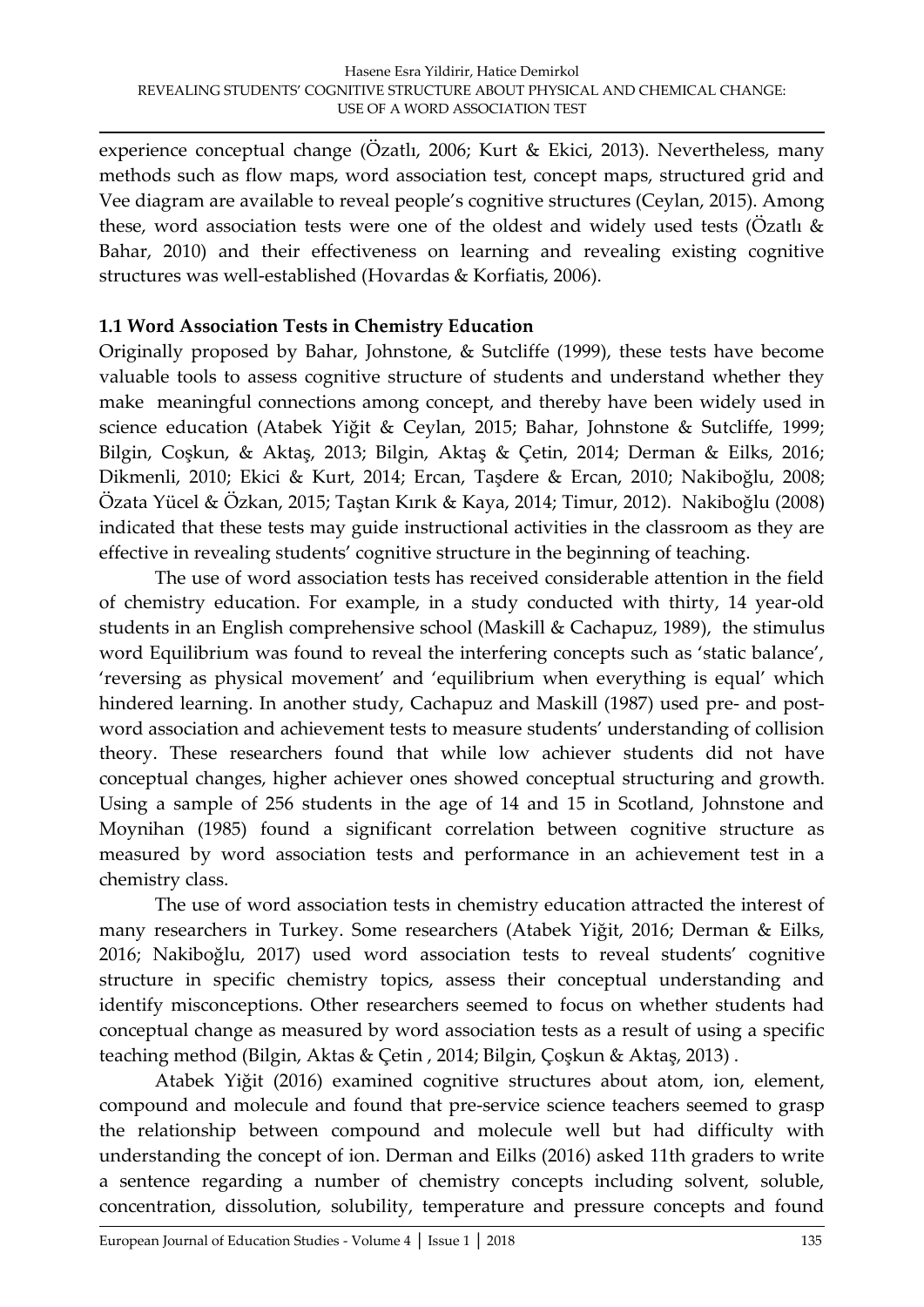experience conceptual change (Özatlı, 2006; Kurt & Ekici, 2013). Nevertheless, many methods such as flow maps, word association test, concept maps, structured grid and Vee diagram are available to reveal people's cognitive structures (Ceylan, 2015). Among these, word association tests were one of the oldest and widely used tests (Özatlı & Bahar, 2010) and their effectiveness on learning and revealing existing cognitive structures was well-established (Hovardas & Korfiatis, 2006).

### **1.1 Word Association Tests in Chemistry Education**

Originally proposed by Bahar, Johnstone, & Sutcliffe (1999), these tests have become valuable tools to assess cognitive structure of students and understand whether they make meaningful connections among concept, and thereby have been widely used in science education (Atabek Yiğit & Ceylan, 2015; Bahar, Johnstone & Sutcliffe, 1999; Bilgin, Coşkun, & Aktaş, 2013; Bilgin, Aktaş & Çetin, 2014; Derman & Eilks, 2016; Dikmenli, 2010; Ekici & Kurt, 2014; Ercan, Taşdere & Ercan, 2010; Nakiboğlu, 2008; Özata Yücel & Özkan, 2015; Taştan Kırık & Kaya, 2014; Timur, 2012). Nakiboğlu (2008) indicated that these tests may guide instructional activities in the classroom as they are effective in revealing students' cognitive structure in the beginning of teaching.

The use of word association tests has received considerable attention in the field of chemistry education. For example, in a study conducted with thirty, 14 year‐old students in an English comprehensive school (Maskill & Cachapuz, 1989), the stimulus word Equilibrium was found to reveal the interfering concepts such as 'static balance', 'reversing as physical movement' and 'equilibrium when everything is equal' which hindered learning. In another study, Cachapuz and Maskill (1987) used pre- and postword association and achievement tests to measure students' understanding of collision theory. These researchers found that while low achiever students did not have conceptual changes, higher achiever ones showed conceptual structuring and growth. Using a sample of 256 students in the age of 14 and 15 in Scotland, Johnstone and Moynihan (1985) found a significant correlation between cognitive structure as measured by word association tests and performance in an achievement test in a chemistry class.

The use of word association tests in chemistry education attracted the interest of many researchers in Turkey. Some researchers (Atabek Yiğit, 2016; Derman & Eilks, 2016; Nakiboğlu, 2017) used word association tests to reveal students' cognitive structure in specific chemistry topics, assess their conceptual understanding and identify misconceptions. Other researchers seemed to focus on whether students had conceptual change as measured by word association tests as a result of using a specific teaching method (Bilgin, Aktas & Çetin , 2014; Bilgin, Çoşkun & Aktaş, 2013) .

Atabek Yiğit (2016) examined cognitive structures about atom, ion, element, compound and molecule and found that pre-service science teachers seemed to grasp the relationship between compound and molecule well but had difficulty with understanding the concept of ion. Derman and Eilks (2016) asked 11th graders to write a sentence regarding a number of chemistry concepts including solvent, soluble, concentration, dissolution, solubility, temperature and pressure concepts and found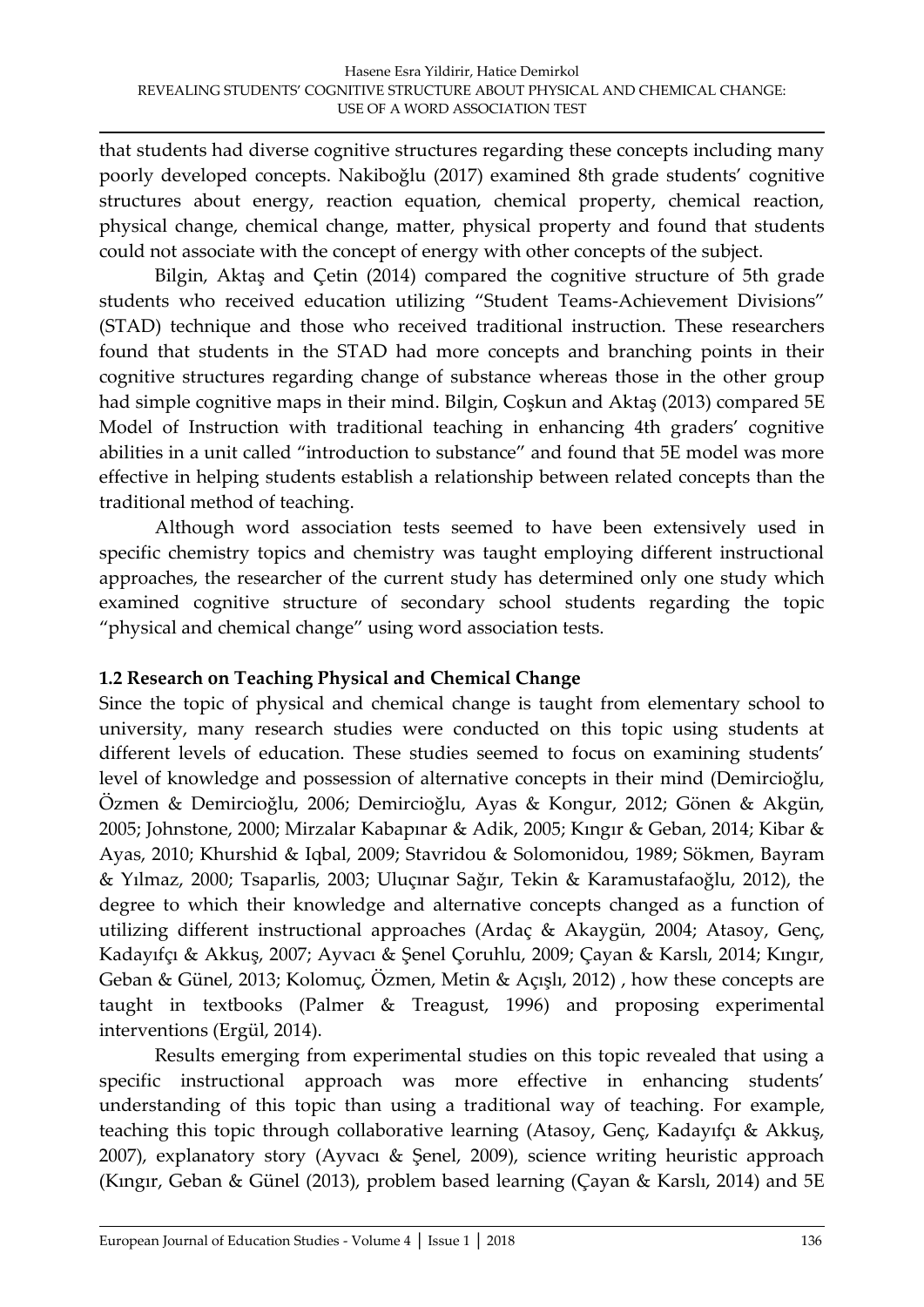that students had diverse cognitive structures regarding these concepts including many poorly developed concepts. Nakiboğlu (2017) examined 8th grade students' cognitive structures about energy, reaction equation, chemical property, chemical reaction, physical change, chemical change, matter, physical property and found that students could not associate with the concept of energy with other concepts of the subject.

Bilgin, Aktaş and Çetin (2014) compared the cognitive structure of 5th grade students who received education utilizing 'Student Teams-Achievement Divisions' (STAD) technique and those who received traditional instruction. These researchers found that students in the STAD had more concepts and branching points in their cognitive structures regarding change of substance whereas those in the other group had simple cognitive maps in their mind. Bilgin, Coşkun and Aktaş (2013) compared 5E Model of Instruction with traditional teaching in enhancing 4th graders' cognitive abilities in a unit called 'introduction to substance' and found that 5E model was more effective in helping students establish a relationship between related concepts than the traditional method of teaching.

Although word association tests seemed to have been extensively used in specific chemistry topics and chemistry was taught employing different instructional approaches, the researcher of the current study has determined only one study which examined cognitive structure of secondary school students regarding the topic 'physical and chemical change' using word association tests.

### **1.2 Research on Teaching Physical and Chemical Change**

Since the topic of physical and chemical change is taught from elementary school to university, many research studies were conducted on this topic using students at different levels of education. These studies seemed to focus on examining students' level of knowledge and possession of alternative concepts in their mind (Demircioğlu, Özmen & Demircioğlu, 2006; Demircioğlu, Ayas & Kongur, 2012; Gönen & Akgün, 2005; Johnstone, 2000; Mirzalar Kabapınar & Adik, 2005; Kıngır & Geban, 2014; Kibar & Ayas, 2010; Khurshid & Iqbal, 2009; Stavridou & Solomonidou, 1989; Sökmen, Bayram & Yılmaz, 2000; Tsaparlis, 2003; Uluçınar Sağır, Tekin & Karamustafaoğlu, 2012), the degree to which their knowledge and alternative concepts changed as a function of utilizing different instructional approaches (Ardaç & Akaygün, 2004; Atasoy, Genç, Kadayıfçı & Akkuş, 2007; Ayvacı & Şenel Çoruhlu, 2009; Çayan & Karslı, 2014; Kıngır, Geban & Günel, 2013; Kolomuç, Özmen, Metin & Açışlı, 2012) , how these concepts are taught in textbooks (Palmer & Treagust, 1996) and proposing experimental interventions (Ergül, 2014).

Results emerging from experimental studies on this topic revealed that using a specific instructional approach was more effective in enhancing students' understanding of this topic than using a traditional way of teaching. For example, teaching this topic through collaborative learning (Atasoy, Genç, Kadayıfçı & Akkuş, 2007), explanatory story (Ayvacı & Şenel, 2009), science writing heuristic approach (Kıngır, Geban & Günel (2013), problem based learning (Çayan & Karslı, 2014) and 5E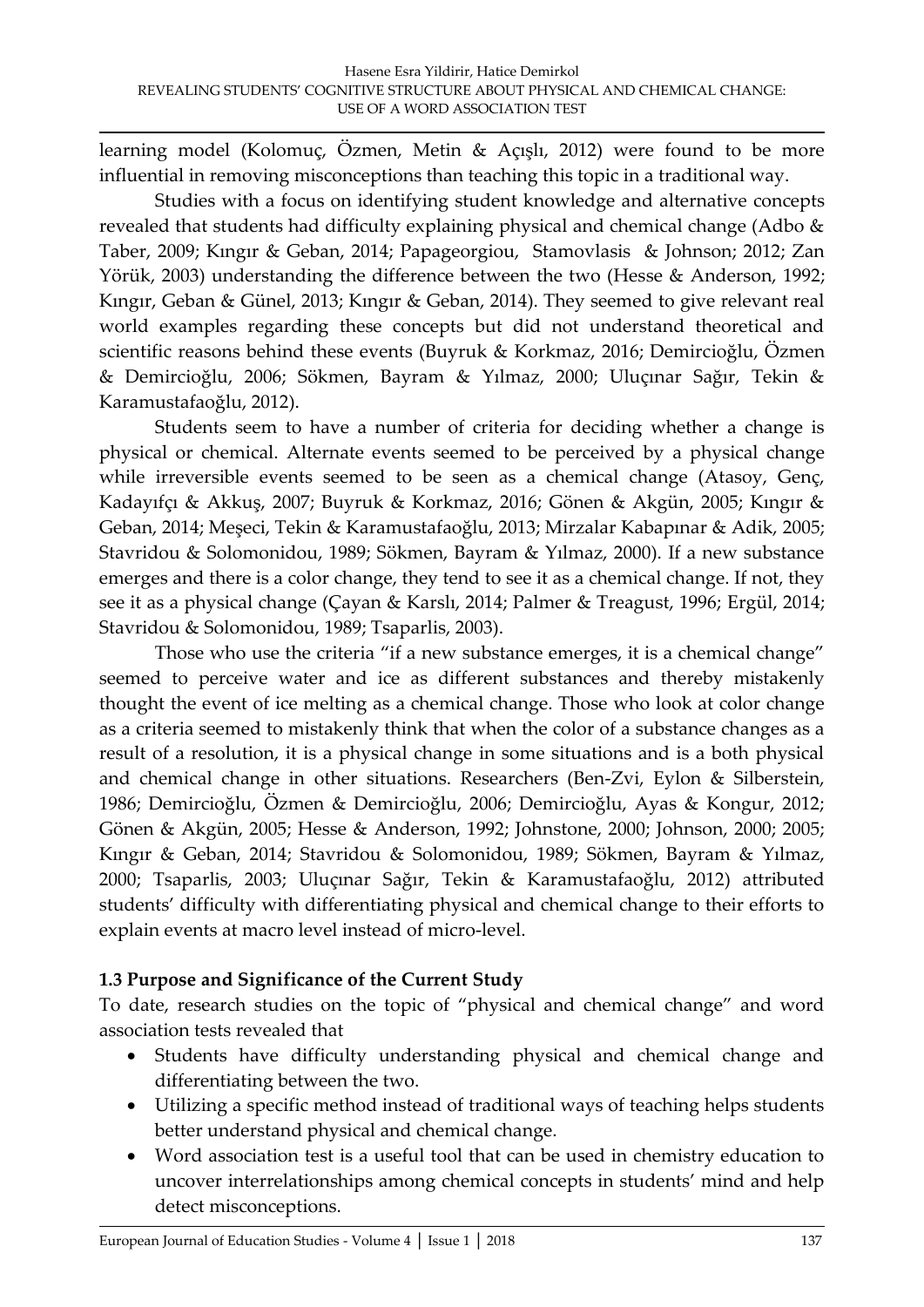learning model (Kolomuç, Özmen, Metin & Açışlı, 2012) were found to be more influential in removing misconceptions than teaching this topic in a traditional way.

Studies with a focus on identifying student knowledge and alternative concepts revealed that students had difficulty explaining physical and chemical change (Adbo & Taber, 2009; Kıngır & Geban, 2014; Papageorgiou, Stamovlasis & Johnson; 2012; Zan Yörük, 2003) understanding the difference between the two (Hesse & Anderson, 1992; Kıngır, Geban & Günel, 2013; Kıngır & Geban, 2014). They seemed to give relevant real world examples regarding these concepts but did not understand theoretical and scientific reasons behind these events (Buyruk & Korkmaz, 2016; Demircioğlu, Özmen & Demircioğlu, 2006; Sökmen, Bayram & Yılmaz, 2000; Uluçınar Sağır, Tekin & Karamustafaoğlu, 2012).

Students seem to have a number of criteria for deciding whether a change is physical or chemical. Alternate events seemed to be perceived by a physical change while irreversible events seemed to be seen as a chemical change (Atasoy, Genç, Kadayıfçı & Akkuş, 2007; Buyruk & Korkmaz, 2016; Gönen & Akgün, 2005; Kıngır & Geban, 2014; Meşeci, Tekin & Karamustafaoğlu, 2013; Mirzalar Kabapınar & Adik, 2005; Stavridou & Solomonidou, 1989; Sökmen, Bayram & Yılmaz, 2000). If a new substance emerges and there is a color change, they tend to see it as a chemical change. If not, they see it as a physical change (Çayan & Karslı, 2014; Palmer & Treagust, 1996; Ergül, 2014; Stavridou & Solomonidou, 1989; Tsaparlis, 2003).

Those who use the criteria "if a new substance emerges, it is a chemical change" seemed to perceive water and ice as different substances and thereby mistakenly thought the event of ice melting as a chemical change. Those who look at color change as a criteria seemed to mistakenly think that when the color of a substance changes as a result of a resolution, it is a physical change in some situations and is a both physical and chemical change in other situations. Researchers (Ben-Zvi, Eylon & Silberstein, 1986; Demircioğlu, Özmen & Demircioğlu, 2006; Demircioğlu, Ayas & Kongur, 2012; Gönen & Akgün, 2005; Hesse & Anderson, 1992; Johnstone, 2000; Johnson, 2000; 2005; Kıngır & Geban, 2014; Stavridou & Solomonidou, 1989; Sökmen, Bayram & Yılmaz, 2000; Tsaparlis, 2003; Uluçınar Sağır, Tekin & Karamustafaoğlu, 2012) attributed students' difficulty with differentiating physical and chemical change to their efforts to explain events at macro level instead of micro-level.

# **1.3 Purpose and Significance of the Current Study**

To date, research studies on the topic of 'physical and chemical change' and word association tests revealed that

- Students have difficulty understanding physical and chemical change and differentiating between the two.
- Utilizing a specific method instead of traditional ways of teaching helps students better understand physical and chemical change.
- Word association test is a useful tool that can be used in chemistry education to uncover interrelationships among chemical concepts in students' mind and help detect misconceptions.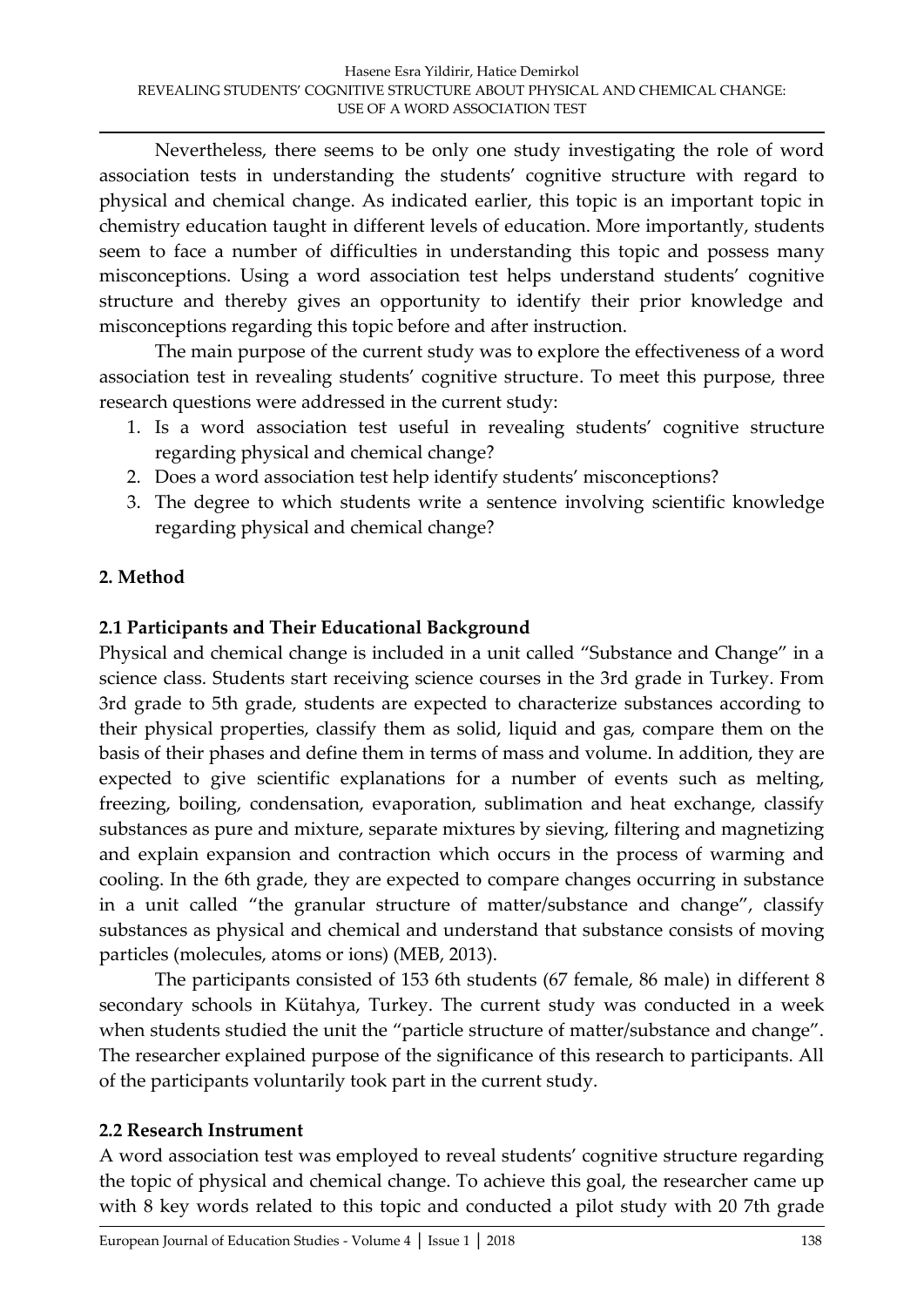Nevertheless, there seems to be only one study investigating the role of word association tests in understanding the students' cognitive structure with regard to physical and chemical change. As indicated earlier, this topic is an important topic in chemistry education taught in different levels of education. More importantly, students seem to face a number of difficulties in understanding this topic and possess many misconceptions. Using a word association test helps understand students' cognitive structure and thereby gives an opportunity to identify their prior knowledge and misconceptions regarding this topic before and after instruction.

The main purpose of the current study was to explore the effectiveness of a word association test in revealing students' cognitive structure. To meet this purpose, three research questions were addressed in the current study:

- 1. Is a word association test useful in revealing students' cognitive structure regarding physical and chemical change?
- 2. Does a word association test help identify students' misconceptions?
- 3. The degree to which students write a sentence involving scientific knowledge regarding physical and chemical change?

# **2. Method**

# **2.1 Participants and Their Educational Background**

Physical and chemical change is included in a unit called 'Substance and Change' in a science class. Students start receiving science courses in the 3rd grade in Turkey. From 3rd grade to 5th grade, students are expected to characterize substances according to their physical properties, classify them as solid, liquid and gas, compare them on the basis of their phases and define them in terms of mass and volume. In addition, they are expected to give scientific explanations for a number of events such as melting, freezing, boiling, condensation, evaporation, sublimation and heat exchange, classify substances as pure and mixture, separate mixtures by sieving, filtering and magnetizing and explain expansion and contraction which occurs in the process of warming and cooling. In the 6th grade, they are expected to compare changes occurring in substance in a unit called 'the granular structure of matter/substance and change', classify substances as physical and chemical and understand that substance consists of moving particles (molecules, atoms or ions) (MEB, 2013).

The participants consisted of 153 6th students (67 female, 86 male) in different 8 secondary schools in Kütahya, Turkey. The current study was conducted in a week when students studied the unit the "particle structure of matter/substance and change". The researcher explained purpose of the significance of this research to participants. All of the participants voluntarily took part in the current study.

# **2.2 Research Instrument**

A word association test was employed to reveal students' cognitive structure regarding the topic of physical and chemical change. To achieve this goal, the researcher came up with 8 key words related to this topic and conducted a pilot study with 20 7th grade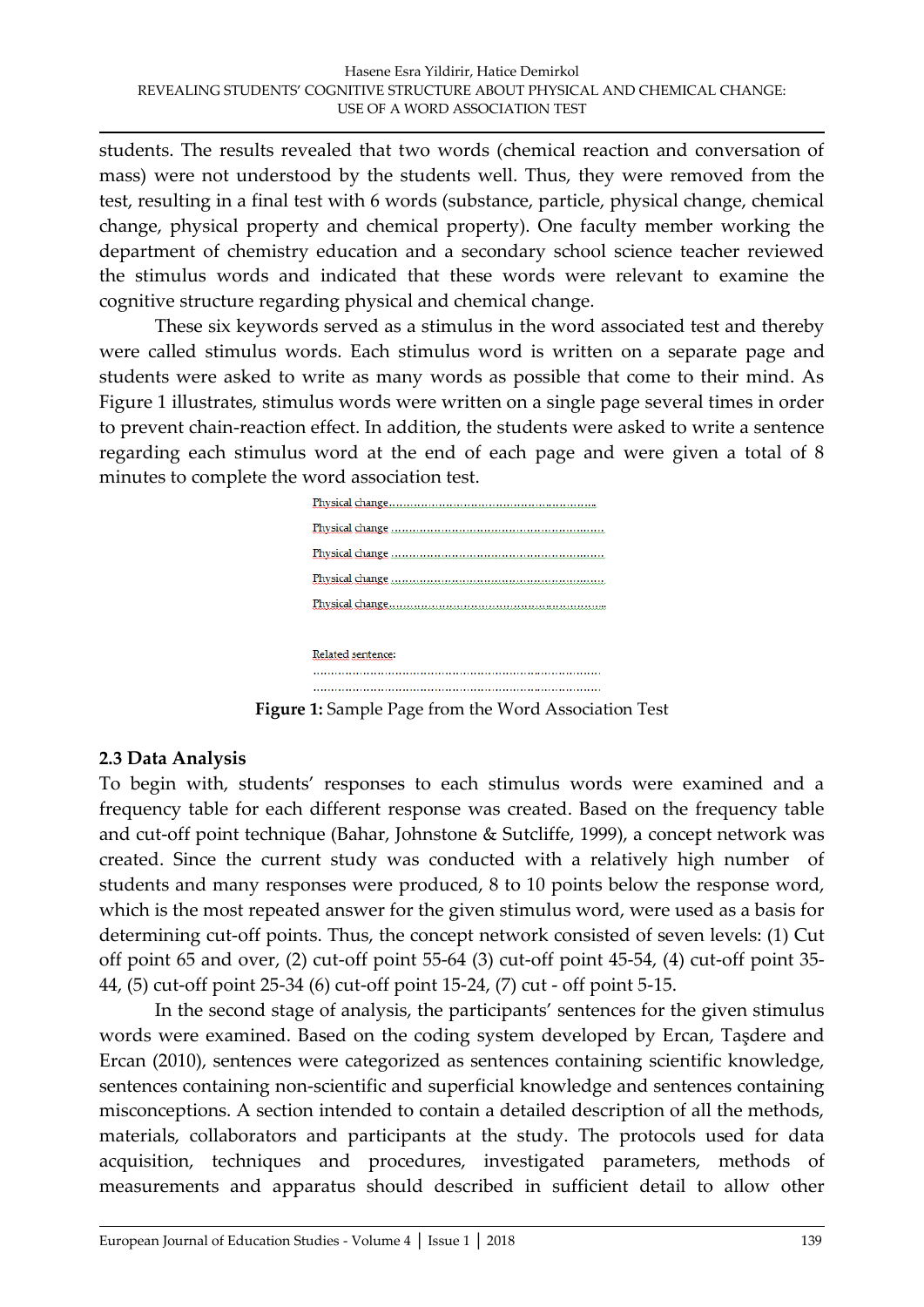students. The results revealed that two words (chemical reaction and conversation of mass) were not understood by the students well. Thus, they were removed from the test, resulting in a final test with 6 words (substance, particle, physical change, chemical change, physical property and chemical property). One faculty member working the department of chemistry education and a secondary school science teacher reviewed the stimulus words and indicated that these words were relevant to examine the cognitive structure regarding physical and chemical change.

These six keywords served as a stimulus in the word associated test and thereby were called stimulus words. Each stimulus word is written on a separate page and students were asked to write as many words as possible that come to their mind. As Figure 1 illustrates, stimulus words were written on a single page several times in order to prevent chain-reaction effect. In addition, the students were asked to write a sentence regarding each stimulus word at the end of each page and were given a total of 8 minutes to complete the word association test.



**Figure 1:** Sample Page from the Word Association Test

### **2.3 Data Analysis**

To begin with, students' responses to each stimulus words were examined and a frequency table for each different response was created. Based on the frequency table and cut-off point technique (Bahar, Johnstone & Sutcliffe, 1999), a concept network was created. Since the current study was conducted with a relatively high number of students and many responses were produced, 8 to 10 points below the response word, which is the most repeated answer for the given stimulus word, were used as a basis for determining cut-off points. Thus, the concept network consisted of seven levels: (1) Cut off point 65 and over, (2) cut-off point 55-64 (3) cut-off point 45-54, (4) cut-off point 35- 44, (5) cut-off point 25-34 (6) cut-off point 15-24, (7) cut - off point 5-15.

 In the second stage of analysis, the participants' sentences for the given stimulus words were examined. Based on the coding system developed by Ercan, Taşdere and Ercan (2010), sentences were categorized as sentences containing scientific knowledge, sentences containing non-scientific and superficial knowledge and sentences containing misconceptions. A section intended to contain a detailed description of all the methods, materials, collaborators and participants at the study. The protocols used for data acquisition, techniques and procedures, investigated parameters, methods of measurements and apparatus should described in sufficient detail to allow other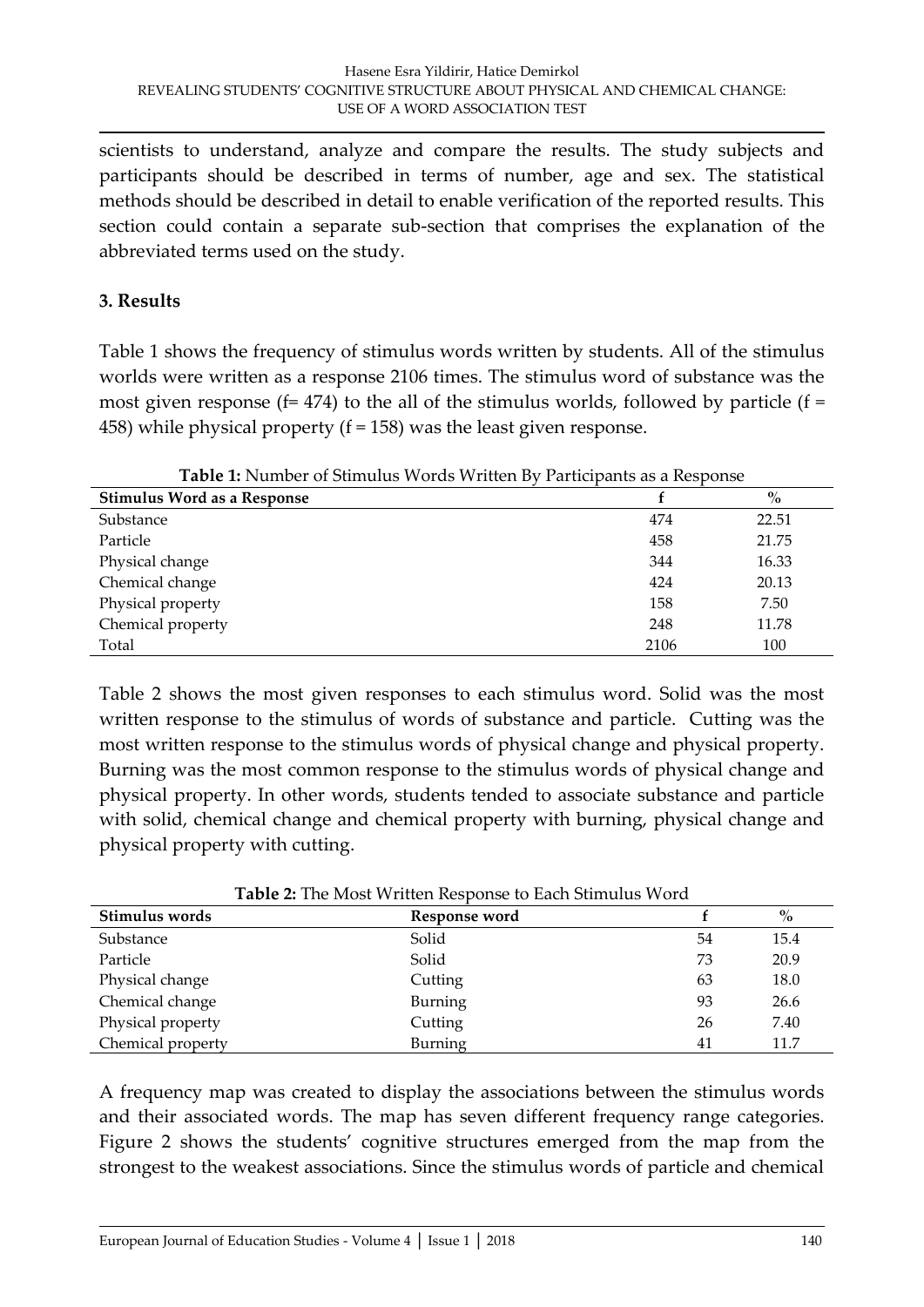scientists to understand, analyze and compare the results. The study subjects and participants should be described in terms of number, age and sex. The statistical methods should be described in detail to enable verification of the reported results. This section could contain a separate sub-section that comprises the explanation of the abbreviated terms used on the study.

### **3. Results**

Table 1 shows the frequency of stimulus words written by students. All of the stimulus worlds were written as a response 2106 times. The stimulus word of substance was the most given response ( $f= 474$ ) to the all of the stimulus worlds, followed by particle ( $f =$ 458) while physical property (f = 158) was the least given response.

| <b>I able 1.</b> INUMBER OF SUMMINS VOLUS VVILLEM DY 1 alticipatits as a Response |      |       |
|-----------------------------------------------------------------------------------|------|-------|
| <b>Stimulus Word as a Response</b>                                                |      | $\%$  |
| Substance                                                                         | 474  | 22.51 |
| Particle                                                                          | 458  | 21.75 |
| Physical change                                                                   | 344  | 16.33 |
| Chemical change                                                                   | 424  | 20.13 |
| Physical property                                                                 | 158  | 7.50  |
| Chemical property                                                                 | 248  | 11.78 |
| Total                                                                             | 2106 | 100   |

**Table 1:** Number of Stimulus Words Written By Participants as a Response

Table 2 shows the most given responses to each stimulus word. Solid was the most written response to the stimulus of words of substance and particle. Cutting was the most written response to the stimulus words of physical change and physical property. Burning was the most common response to the stimulus words of physical change and physical property. In other words, students tended to associate substance and particle with solid, chemical change and chemical property with burning, physical change and physical property with cutting.

| <b>Table 2:</b> The MOSt Williell Response to Each Sumulus Word |               |    |      |  |  |
|-----------------------------------------------------------------|---------------|----|------|--|--|
| Stimulus words                                                  | Response word |    | $\%$ |  |  |
| Substance                                                       | Solid         | 54 | 15.4 |  |  |
| Particle                                                        | Solid         | 73 | 20.9 |  |  |
| Physical change                                                 | Cutting       | 63 | 18.0 |  |  |
| Chemical change                                                 | Burning       | 93 | 26.6 |  |  |
| Physical property                                               | Cutting       | 26 | 7.40 |  |  |
| Chemical property                                               | Burning       | 41 | 11.7 |  |  |

**Table 2:** The Most Written Response to Each Stimulus Word

A frequency map was created to display the associations between the stimulus words and their associated words. The map has seven different frequency range categories. Figure 2 shows the students' cognitive structures emerged from the map from the strongest to the weakest associations. Since the stimulus words of particle and chemical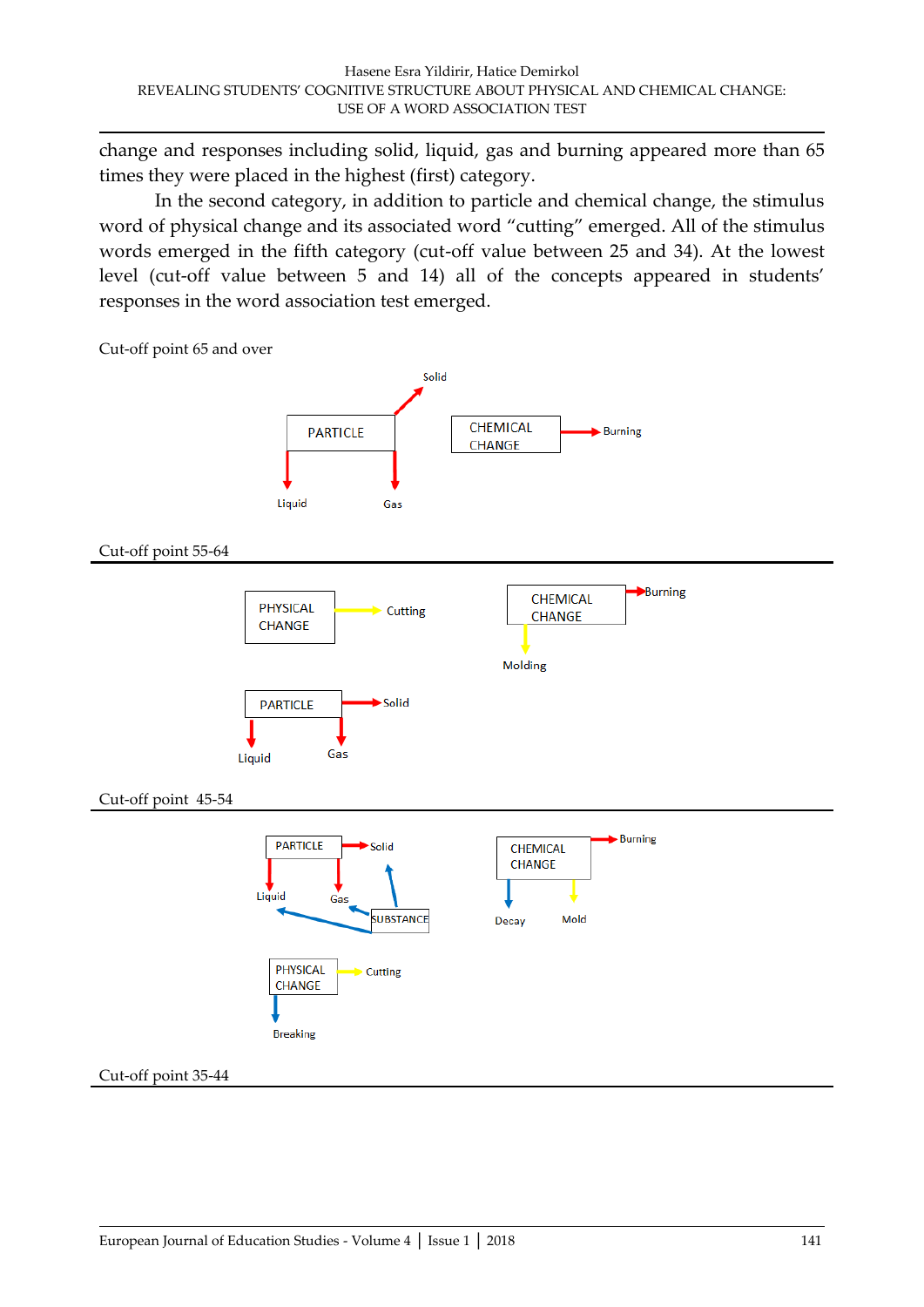change and responses including solid, liquid, gas and burning appeared more than 65 times they were placed in the highest (first) category.

In the second category, in addition to particle and chemical change, the stimulus word of physical change and its associated word 'cutting' emerged. All of the stimulus words emerged in the fifth category (cut-off value between 25 and 34). At the lowest level (cut-off value between 5 and 14) all of the concepts appeared in students' responses in the word association test emerged.

Cut-off point 65 and over



Cut-off point 55-64





Cut-off point 45-54



#### Cut-off point 35-44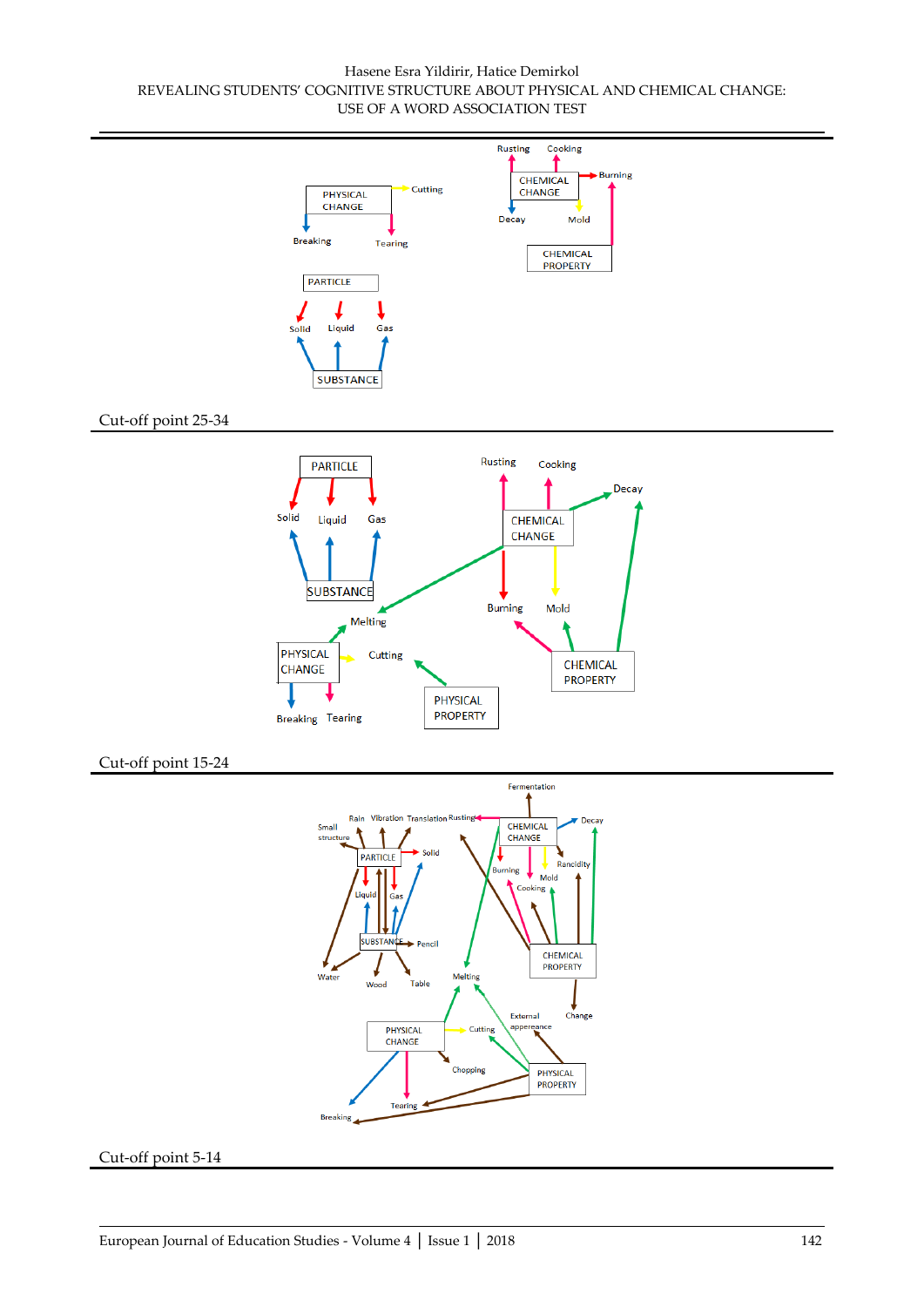#### Hasene Esra Yildirir, Hatice Demirkol REVEALING STUDENTS' COGNITIVE STRUCTURE ABOUT PHYSICAL AND CHEMICAL CHANGE: USE OF A WORD ASSOCIATION TEST



#### Cut-off point 5-14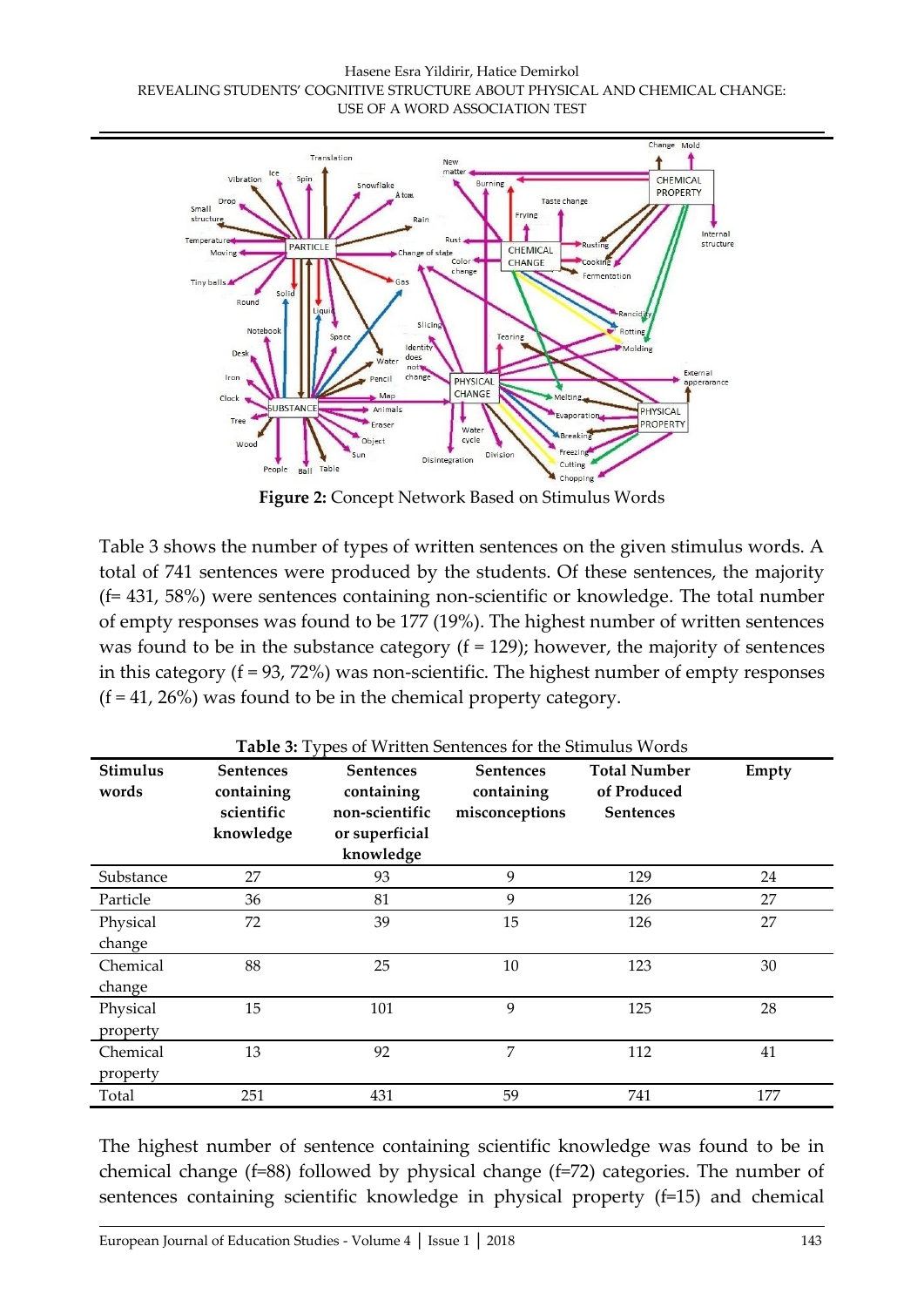#### Hasene Esra Yildirir, Hatice Demirkol REVEALING STUDENTS' COGNITIVE STRUCTURE ABOUT PHYSICAL AND CHEMICAL CHANGE: USE OF A WORD ASSOCIATION TEST



**Figure 2:** Concept Network Based on Stimulus Words

Table 3 shows the number of types of written sentences on the given stimulus words. A total of 741 sentences were produced by the students. Of these sentences, the majority (f= 431, 58%) were sentences containing non-scientific or knowledge. The total number of empty responses was found to be 177 (19%). The highest number of written sentences was found to be in the substance category  $(f = 129)$ ; however, the majority of sentences in this category  $(f = 93, 72%)$  was non-scientific. The highest number of empty responses  $(f = 41, 26\%)$  was found to be in the chemical property category.

| Stimulus<br>words | <b>Sentences</b><br>containing<br>scientific<br>knowledge | <b>Sentences</b><br>containing<br>non-scientific<br>or superficial<br>knowledge | <b>Sentences</b><br>containing<br>misconceptions | <b>Total Number</b><br>of Produced<br><b>Sentences</b> | Empty |
|-------------------|-----------------------------------------------------------|---------------------------------------------------------------------------------|--------------------------------------------------|--------------------------------------------------------|-------|
| Substance         | 27                                                        | 93                                                                              | 9                                                | 129                                                    | 24    |
| Particle          | 36                                                        | 81                                                                              | 9                                                | 126                                                    | 27    |
| Physical          | 72                                                        | 39                                                                              | 15                                               | 126                                                    | 27    |
| change            |                                                           |                                                                                 |                                                  |                                                        |       |
| Chemical          | 88                                                        | 25                                                                              | 10                                               | 123                                                    | 30    |
| change            |                                                           |                                                                                 |                                                  |                                                        |       |
| Physical          | 15                                                        | 101                                                                             | 9                                                | 125                                                    | 28    |
| property          |                                                           |                                                                                 |                                                  |                                                        |       |
| Chemical          | 13                                                        | 92                                                                              | 7                                                | 112                                                    | 41    |
| property          |                                                           |                                                                                 |                                                  |                                                        |       |
| Total             | 251                                                       | 431                                                                             | 59                                               | 741                                                    | 177   |

**Table 3:** Types of Written Sentences for the Stimulus Words

The highest number of sentence containing scientific knowledge was found to be in chemical change (f=88) followed by physical change (f=72) categories. The number of sentences containing scientific knowledge in physical property (f=15) and chemical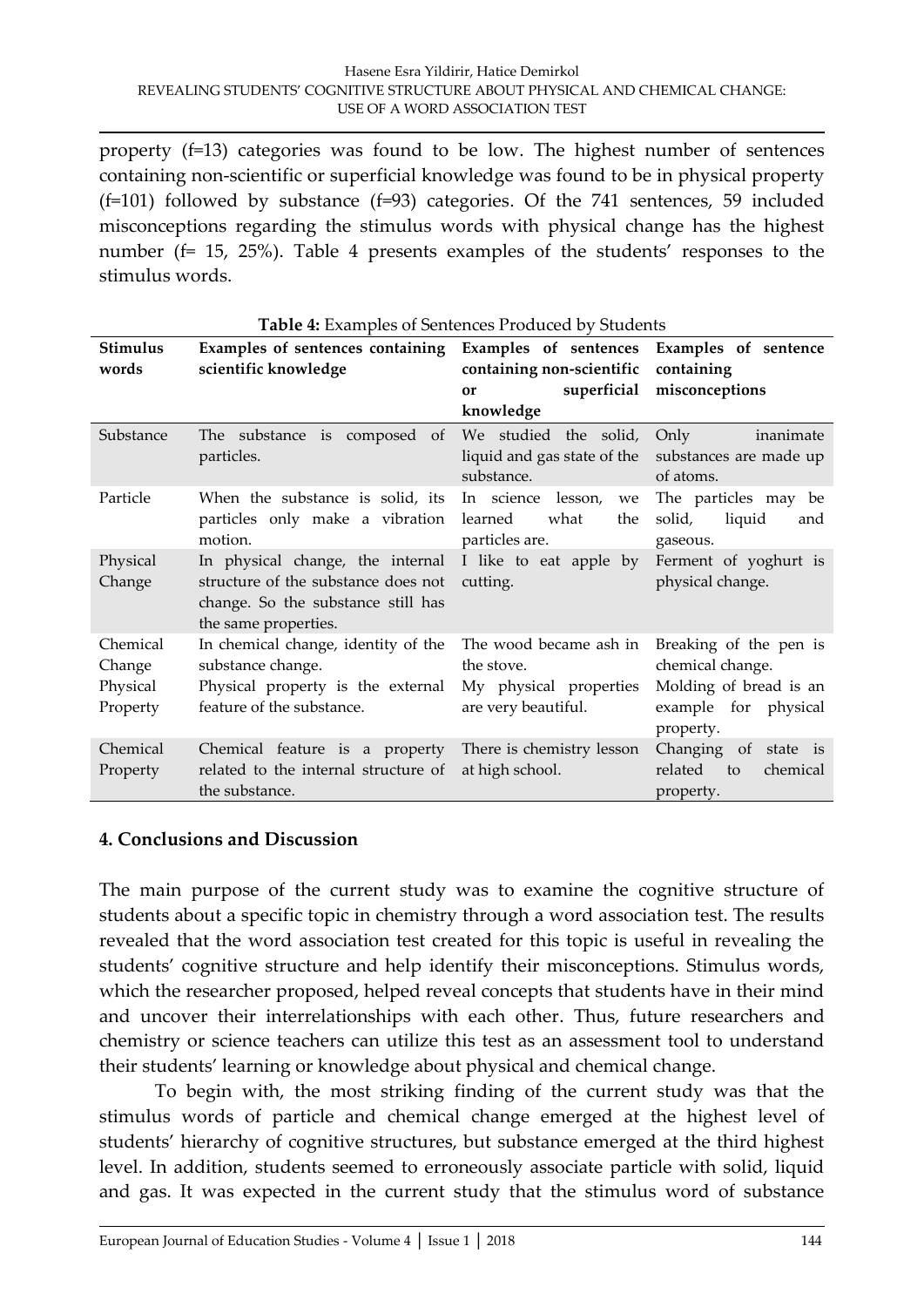property (f=13) categories was found to be low. The highest number of sentences containing non-scientific or superficial knowledge was found to be in physical property  $(f=101)$  followed by substance  $(f=93)$  categories. Of the 741 sentences, 59 included misconceptions regarding the stimulus words with physical change has the highest number (f= 15, 25%). Table 4 presents examples of the students' responses to the stimulus words.

| Stimulus<br>words                          | Examples of sentences containing Examples of sentences Examples of sentence<br>scientific knowledge                                                                                | containing non-scientific containing<br>or<br>knowledge          | superficial misconceptions                                                                                |
|--------------------------------------------|------------------------------------------------------------------------------------------------------------------------------------------------------------------------------------|------------------------------------------------------------------|-----------------------------------------------------------------------------------------------------------|
| Substance                                  | The substance is composed of We studied the solid,<br>particles.                                                                                                                   | liquid and gas state of the substances are made up<br>substance. | Only<br>inanimate<br>of atoms.                                                                            |
| Particle                                   | When the substance is solid, its In science lesson,<br>particles only make a vibration learned<br>motion.                                                                          | we<br>what<br>the<br>particles are.                              | The particles may be<br>solid,<br>liquid<br>and<br>gaseous.                                               |
| Physical<br>Change                         | In physical change, the internal I like to eat apple by Ferment of yoghurt is<br>structure of the substance does not<br>change. So the substance still has<br>the same properties. | cutting.                                                         | physical change.                                                                                          |
| Chemical<br>Change<br>Physical<br>Property | In chemical change, identity of the<br>substance change.<br>Physical property is the external My physical properties<br>feature of the substance.                                  | The wood became ash in<br>the stove.<br>are very beautiful.      | Breaking of the pen is<br>chemical change.<br>Molding of bread is an<br>example for physical<br>property. |
| Chemical<br>Property                       | Chemical feature is a property There is chemistry lesson<br>related to the internal structure of<br>the substance.                                                                 | at high school.                                                  | Changing of state is<br>related<br>to<br>chemical<br>property.                                            |

#### **Table 4:** Examples of Sentences Produced by Students

### **4. Conclusions and Discussion**

The main purpose of the current study was to examine the cognitive structure of students about a specific topic in chemistry through a word association test. The results revealed that the word association test created for this topic is useful in revealing the students' cognitive structure and help identify their misconceptions. Stimulus words, which the researcher proposed, helped reveal concepts that students have in their mind and uncover their interrelationships with each other. Thus, future researchers and chemistry or science teachers can utilize this test as an assessment tool to understand their students' learning or knowledge about physical and chemical change.

To begin with, the most striking finding of the current study was that the stimulus words of particle and chemical change emerged at the highest level of students' hierarchy of cognitive structures, but substance emerged at the third highest level. In addition, students seemed to erroneously associate particle with solid, liquid and gas. It was expected in the current study that the stimulus word of substance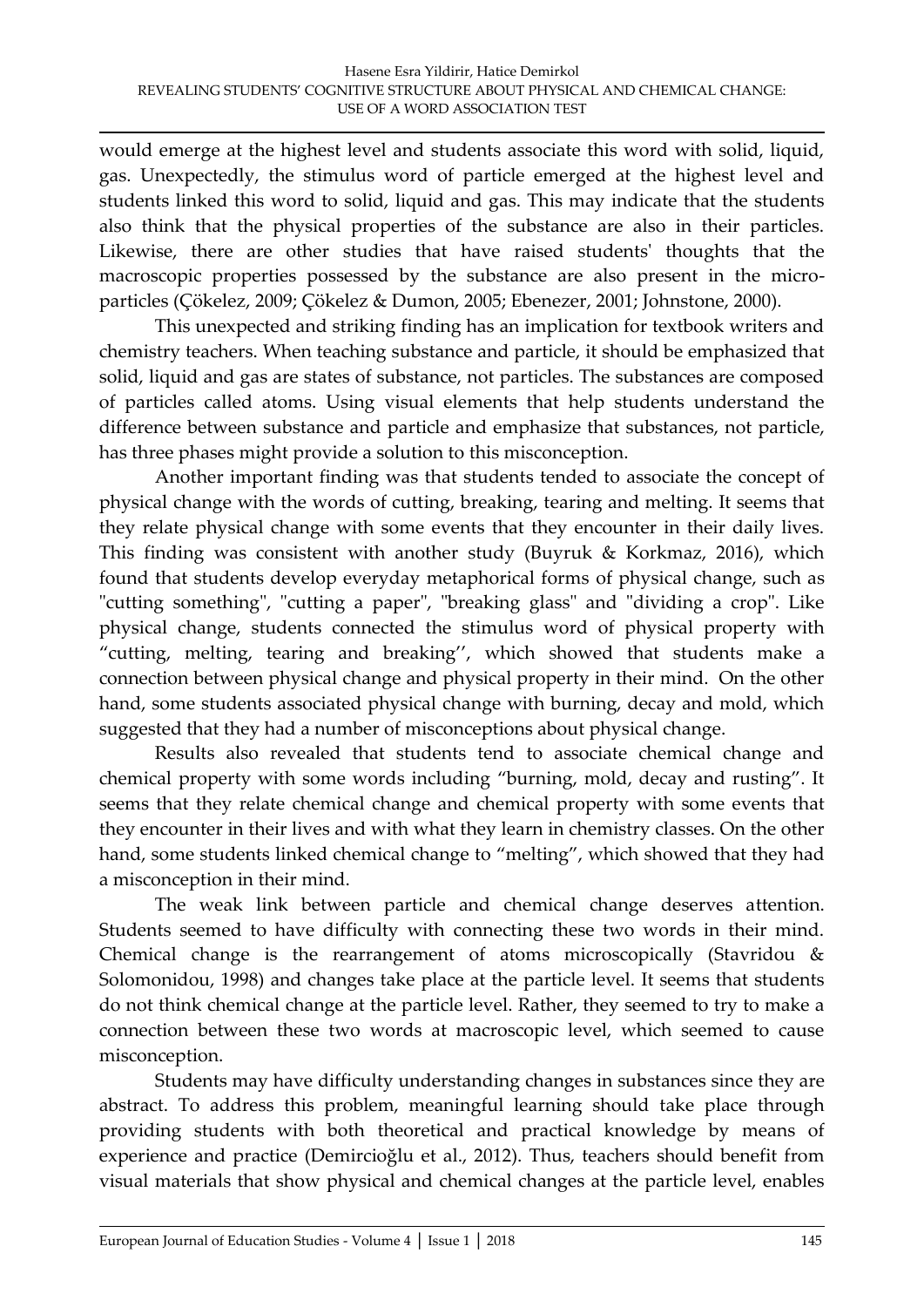would emerge at the highest level and students associate this word with solid, liquid, gas. Unexpectedly, the stimulus word of particle emerged at the highest level and students linked this word to solid, liquid and gas. This may indicate that the students also think that the physical properties of the substance are also in their particles. Likewise, there are other studies that have raised students' thoughts that the macroscopic properties possessed by the substance are also present in the microparticles (Çökelez, 2009; Çökelez & Dumon, 2005; Ebenezer, 2001; Johnstone, 2000).

This unexpected and striking finding has an implication for textbook writers and chemistry teachers. When teaching substance and particle, it should be emphasized that solid, liquid and gas are states of substance, not particles. The substances are composed of particles called atoms. Using visual elements that help students understand the difference between substance and particle and emphasize that substances, not particle, has three phases might provide a solution to this misconception.

Another important finding was that students tended to associate the concept of physical change with the words of cutting, breaking, tearing and melting. It seems that they relate physical change with some events that they encounter in their daily lives. This finding was consistent with another study (Buyruk & Korkmaz, 2016), which found that students develop everyday metaphorical forms of physical change, such as "cutting something", "cutting a paper", "breaking glass" and "dividing a crop". Like physical change, students connected the stimulus word of physical property with 'cutting, melting, tearing and breaking'', which showed that students make a connection between physical change and physical property in their mind. On the other hand, some students associated physical change with burning, decay and mold, which suggested that they had a number of misconceptions about physical change.

Results also revealed that students tend to associate chemical change and chemical property with some words including 'burning, mold, decay and rusting'. It seems that they relate chemical change and chemical property with some events that they encounter in their lives and with what they learn in chemistry classes. On the other hand, some students linked chemical change to "melting", which showed that they had a misconception in their mind.

The weak link between particle and chemical change deserves attention. Students seemed to have difficulty with connecting these two words in their mind. Chemical change is the rearrangement of atoms microscopically (Stavridou & Solomonidou, 1998) and changes take place at the particle level. It seems that students do not think chemical change at the particle level. Rather, they seemed to try to make a connection between these two words at macroscopic level, which seemed to cause misconception.

Students may have difficulty understanding changes in substances since they are abstract. To address this problem, meaningful learning should take place through providing students with both theoretical and practical knowledge by means of experience and practice (Demircioğlu et al., 2012). Thus, teachers should benefit from visual materials that show physical and chemical changes at the particle level, enables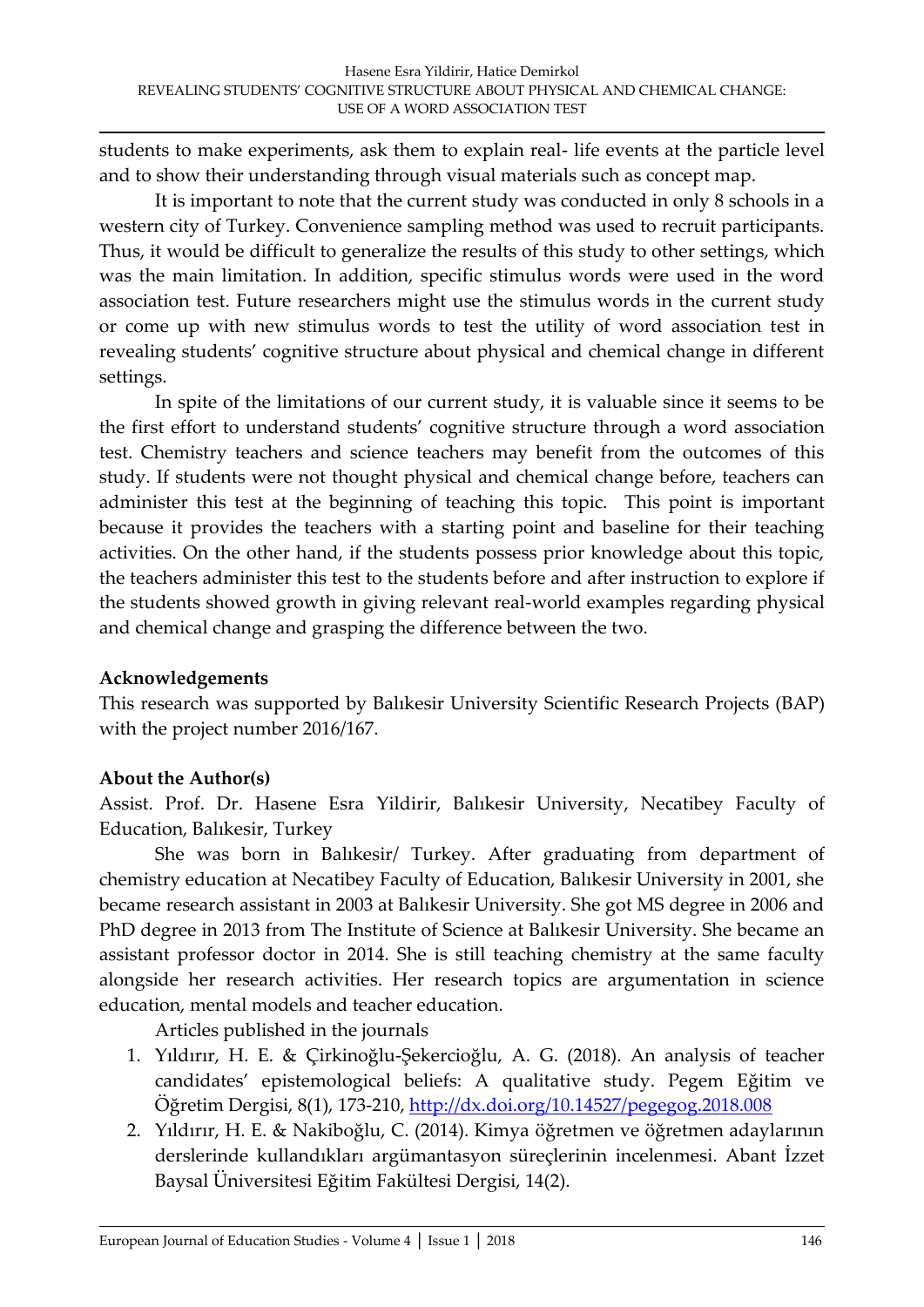students to make experiments, ask them to explain real- life events at the particle level and to show their understanding through visual materials such as concept map.

It is important to note that the current study was conducted in only 8 schools in a western city of Turkey. Convenience sampling method was used to recruit participants. Thus, it would be difficult to generalize the results of this study to other settings, which was the main limitation. In addition, specific stimulus words were used in the word association test. Future researchers might use the stimulus words in the current study or come up with new stimulus words to test the utility of word association test in revealing students' cognitive structure about physical and chemical change in different settings.

In spite of the limitations of our current study, it is valuable since it seems to be the first effort to understand students' cognitive structure through a word association test. Chemistry teachers and science teachers may benefit from the outcomes of this study. If students were not thought physical and chemical change before, teachers can administer this test at the beginning of teaching this topic. This point is important because it provides the teachers with a starting point and baseline for their teaching activities. On the other hand, if the students possess prior knowledge about this topic, the teachers administer this test to the students before and after instruction to explore if the students showed growth in giving relevant real-world examples regarding physical and chemical change and grasping the difference between the two.

### **Acknowledgements**

This research was supported by Balıkesir University Scientific Research Projects (BAP) with the project number 2016/167.

# **About the Author(s)**

Assist. Prof. Dr. Hasene Esra Yildirir, Balıkesir University, Necatibey Faculty of Education, Balıkesir, Turkey

She was born in Balıkesir/ Turkey. After graduating from department of chemistry education at Necatibey Faculty of Education, Balıkesir University in 2001, she became research assistant in 2003 at Balıkesir University. She got MS degree in 2006 and PhD degree in 2013 from The Institute of Science at Balıkesir University. She became an assistant professor doctor in 2014. She is still teaching chemistry at the same faculty alongside her research activities. Her research topics are argumentation in science education, mental models and teacher education.

Articles published in the journals

- 1. Yıldırır, H. E. & Çirkinoğlu-Şekercioğlu, A. G. (2018). An analysis of teacher candidates' epistemological beliefs: A qualitative study. Pegem Eğitim ve Öğretim Dergisi, 8(1), 173-210,<http://dx.doi.org/10.14527/pegegog.2018.008>
- 2. Yıldırır, H. E. & Nakiboğlu, C. (2014). Kimya öğretmen ve öğretmen adaylarının derslerinde kullandıkları argümantasyon süreçlerinin incelenmesi. Abant İzzet Baysal Üniversitesi Eğitim Fakültesi Dergisi, 14(2).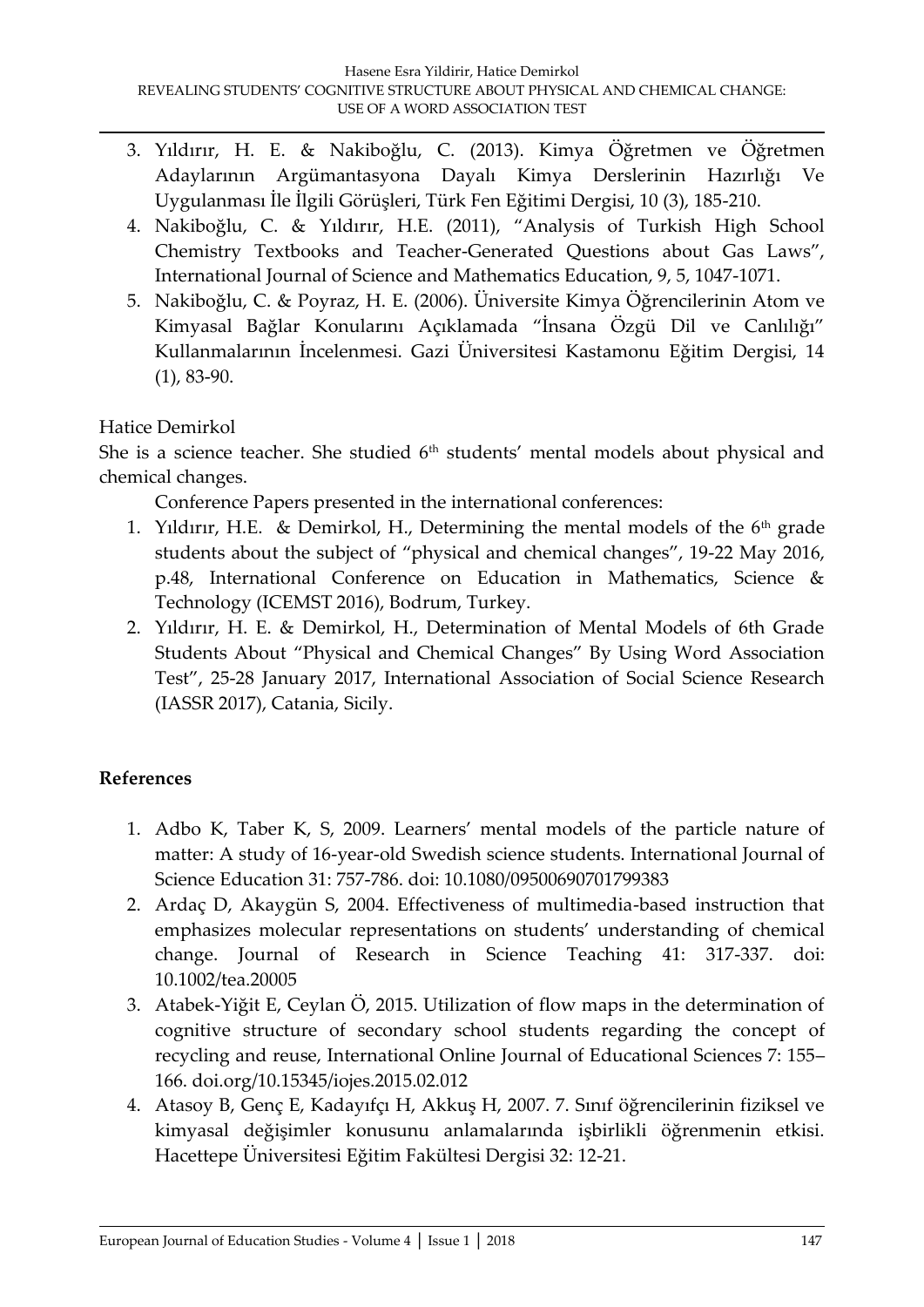- 3. Yıldırır, H. E. & Nakiboğlu, C. (2013). Kimya Öğretmen ve Öğretmen Adaylarının Argümantasyona Dayalı Kimya Derslerinin Hazırlığı Ve Uygulanması İle İlgili Görüşleri, Türk Fen Eğitimi Dergisi, 10 (3), 185-210.
- 4. Nakiboğlu, C. & Yıldırır, H.E. (2011), 'Analysis of Turkish High School Chemistry Textbooks and Teacher-Generated Questions about Gas Laws', International Journal of Science and Mathematics Education, 9, 5, 1047-1071.
- 5. Nakiboğlu, C. & Poyraz, H. E. (2006). Üniversite Kimya Öğrencilerinin Atom ve Kimyasal Bağlar Konularını Açıklamada 'İnsana Özgü Dil ve Canlılığı' Kullanmalarının İncelenmesi. Gazi Üniversitesi Kastamonu Eğitim Dergisi, 14 (1), 83-90.

# Hatice Demirkol

She is a science teacher. She studied  $6<sup>th</sup>$  students' mental models about physical and chemical changes.

Conference Papers presented in the international conferences:

- 1. Yıldırır, H.E. & Demirkol, H., Determining the mental models of the  $6<sup>th</sup>$  grade students about the subject of 'physical and chemical changes', 19-22 May 2016, p.48, International Conference on Education in Mathematics, Science & Technology (ICEMST 2016), Bodrum, Turkey.
- 2. Yıldırır, H. E. & Demirkol, H., Determination of Mental Models of 6th Grade Students About 'Physical and Chemical Changes' By Using Word Association Test', 25-28 January 2017, International Association of Social Science Research (IASSR 2017), Catania, Sicily.

# **References**

- 1. Adbo K, Taber K, S, 2009. Learners' mental models of the particle nature of matter: A study of 16‐year‐old Swedish science students. International Journal of Science Education 31: 757-786. doi: 10.1080/09500690701799383
- 2. Ardaç D, Akaygün S, 2004. Effectiveness of multimedia-based instruction that emphasizes molecular representations on students' understanding of chemical change. Journal of Research in Science Teaching 41: 317-337. doi: 10.1002/tea.20005
- 3. Atabek-Yiğit E, Ceylan Ö, 2015. Utilization of flow maps in the determination of cognitive structure of secondary school students regarding the concept of recycling and reuse, International Online Journal of Educational Sciences 7: 155– 166. doi.org/10.15345/iojes.2015.02.012
- 4. Atasoy B, Genç E, Kadayıfçı H, Akkuş H, 2007. 7. Sınıf öğrencilerinin fiziksel ve kimyasal değişimler konusunu anlamalarında işbirlikli öğrenmenin etkisi. Hacettepe Üniversitesi Eğitim Fakültesi Dergisi 32: 12-21.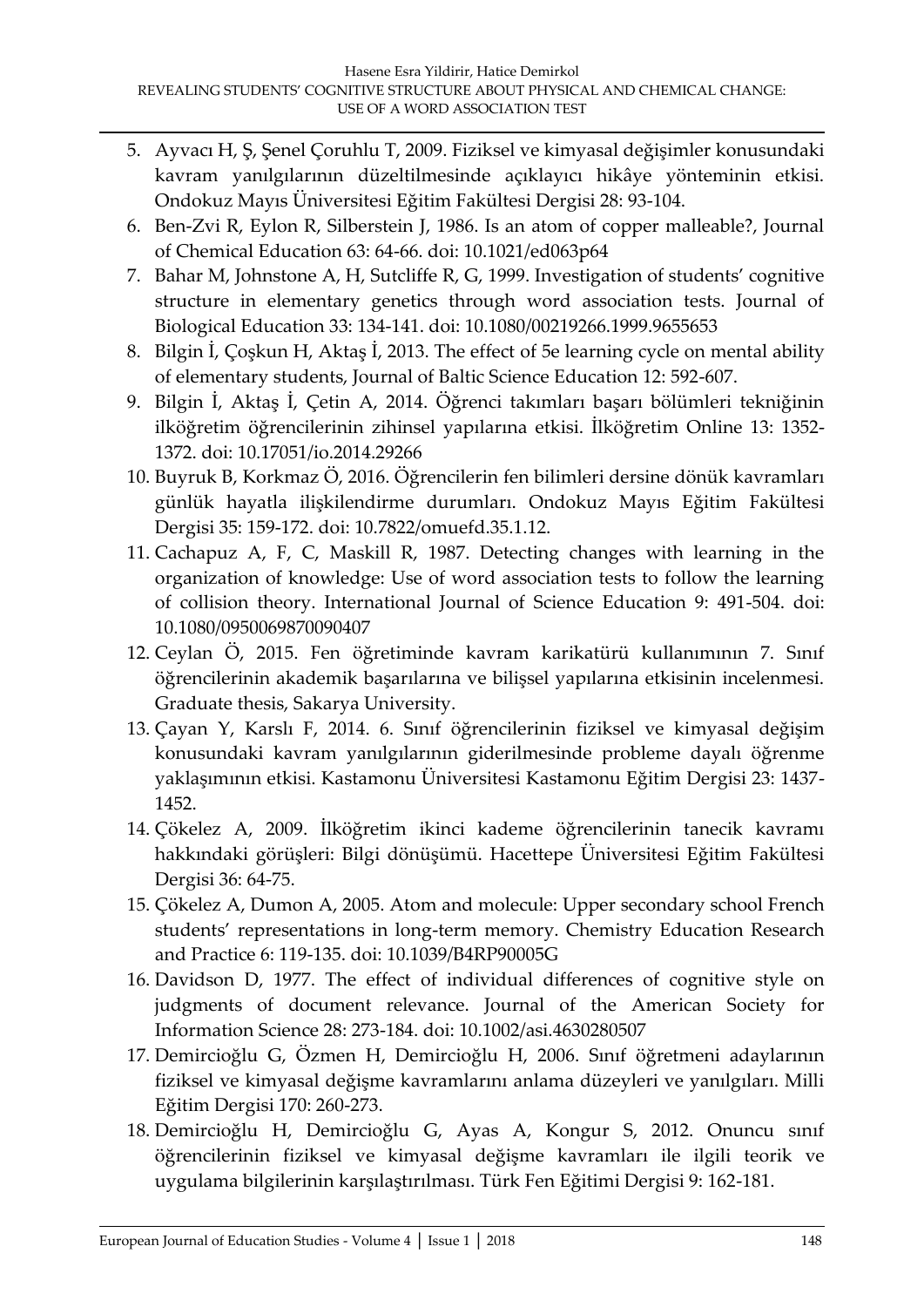- 5. Ayvacı H, Ş, Şenel Çoruhlu T, 2009. Fiziksel ve kimyasal değişimler konusundaki kavram yanılgılarının düzeltilmesinde açıklayıcı hikâye yönteminin etkisi. Ondokuz Mayıs Üniversitesi Eğitim Fakültesi Dergisi 28: 93-104.
- 6. Ben-Zvi R, Eylon R, Silberstein J, 1986. Is an atom of copper malleable?, Journal of Chemical Education 63: 64-66. doi: 10.1021/ed063p64
- 7. Bahar M, Johnstone A, H, Sutcliffe R, G, 1999. Investigation of students' cognitive structure in elementary genetics through word association tests. Journal of Biological Education 33: 134-141. doi: 10.1080/00219266.1999.9655653
- 8. Bilgin İ, Çoşkun H, Aktaş İ, 2013. The effect of 5e learning cycle on mental ability of elementary students, Journal of Baltic Science Education 12: 592-607.
- 9. Bilgin İ, Aktaş İ, Çetin A, 2014. Öğrenci takımları başarı bölümleri tekniğinin ilköğretim öğrencilerinin zihinsel yapılarına etkisi. İlköğretim Online 13: 1352- 1372. doi: 10.17051/io.2014.29266
- 10. Buyruk B, Korkmaz Ö, 2016. Öğrencilerin fen bilimleri dersine dönük kavramları günlük hayatla ilişkilendirme durumları. Ondokuz Mayıs Eğitim Fakültesi Dergisi 35: 159-172. doi: 10.7822/omuefd.35.1.12.
- 11. Cachapuz A, F, C, Maskill R, 1987. Detecting changes with learning in the organization of knowledge: Use of word association tests to follow the learning of collision theory. International Journal of Science Education 9: 491-504. doi: 10.1080/0950069870090407
- 12. Ceylan Ö, 2015. Fen öğretiminde kavram karikatürü kullanımının 7. Sınıf öğrencilerinin akademik başarılarına ve bilişsel yapılarına etkisinin incelenmesi. Graduate thesis, Sakarya University.
- 13. Çayan Y, Karslı F, 2014. 6. Sınıf öğrencilerinin fiziksel ve kimyasal değişim konusundaki kavram yanılgılarının giderilmesinde probleme dayalı öğrenme yaklaşımının etkisi. Kastamonu Üniversitesi Kastamonu Eğitim Dergisi 23: 1437- 1452.
- 14. Çökelez A, 2009. İlköğretim ikinci kademe öğrencilerinin tanecik kavramı hakkındaki görüşleri: Bilgi dönüşümü. Hacettepe Üniversitesi Eğitim Fakültesi Dergisi 36: 64-75.
- 15. Çökelez A, Dumon A, 2005. Atom and molecule: Upper secondary school French students' representations in long-term memory. Chemistry Education Research and Practice 6: 119-135. doi: 10.1039/B4RP90005G
- 16. Davidson D, 1977. The effect of individual differences of cognitive style on judgments of document relevance. Journal of the American Society for Information Science 28: 273-184. doi: 10.1002/asi.4630280507
- 17. Demircioğlu G, Özmen H, Demircioğlu H, 2006. Sınıf öğretmeni adaylarının fiziksel ve kimyasal değişme kavramlarını anlama düzeyleri ve yanılgıları. Milli Eğitim Dergisi 170: 260-273.
- 18. Demircioğlu H, Demircioğlu G, Ayas A, Kongur S, 2012. Onuncu sınıf öğrencilerinin fiziksel ve kimyasal değişme kavramları ile ilgili teorik ve uygulama bilgilerinin karşılaştırılması. Türk Fen Eğitimi Dergisi 9: 162-181.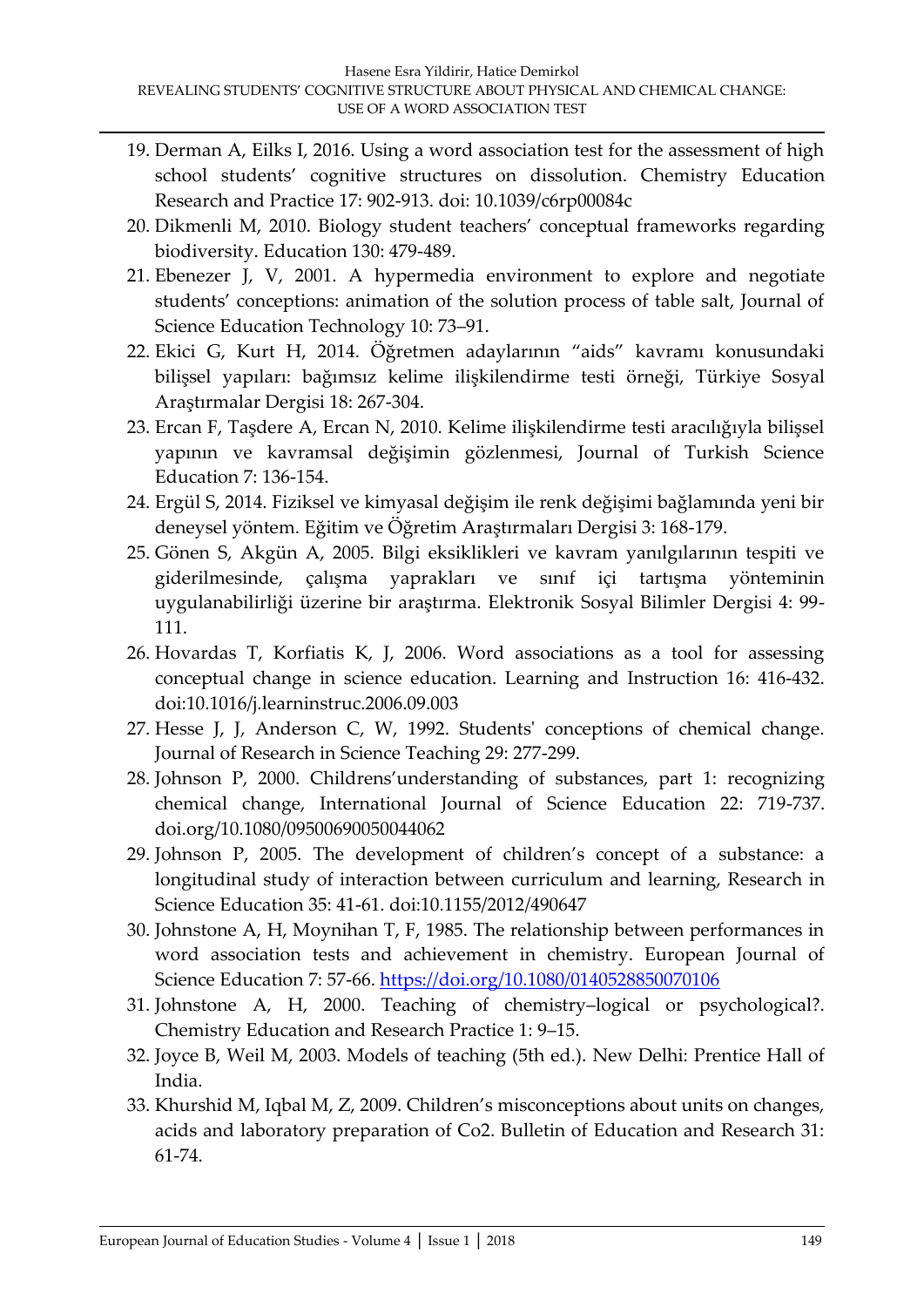- 19. Derman A, Eilks I, 2016. Using a word association test for the assessment of high school students' cognitive structures on dissolution. Chemistry Education Research and Practice 17: 902-913. doi: 10.1039/c6rp00084c
- 20. Dikmenli M, 2010. Biology student teachers' conceptual frameworks regarding biodiversity. Education 130: 479-489.
- 21. Ebenezer J, V, 2001. A hypermedia environment to explore and negotiate students' conceptions: animation of the solution process of table salt, Journal of Science Education Technology 10: 73–91.
- 22. Ekici G, Kurt H, 2014. Öğretmen adaylarının 'aids' kavramı konusundaki bilişsel yapıları: bağımsız kelime ilişkilendirme testi örneği, Türkiye Sosyal Araştırmalar Dergisi 18: 267-304.
- 23. Ercan F, Taşdere A, Ercan N, 2010. Kelime ilişkilendirme testi aracılığıyla bilişsel yapının ve kavramsal değişimin gözlenmesi, Journal of Turkish Science Education 7: 136-154.
- 24. Ergül S, 2014. Fiziksel ve kimyasal değişim ile renk değişimi bağlamında yeni bir deneysel yöntem. Eğitim ve Öğretim Araştırmaları Dergisi 3: 168-179.
- 25. Gönen S, Akgün A, 2005. Bilgi eksiklikleri ve kavram yanılgılarının tespiti ve giderilmesinde, çalışma yaprakları ve sınıf içi tartışma yönteminin uygulanabilirliği üzerine bir araştırma. Elektronik Sosyal Bilimler Dergisi 4: 99- 111.
- 26. Hovardas T, Korfiatis K, J, 2006. Word associations as a tool for assessing conceptual change in science education. Learning and Instruction 16: 416-432. doi:10.1016/j.learninstruc.2006.09.003
- 27. Hesse J, J, Anderson C, W, 1992. Students' conceptions of chemical change. Journal of Research in Science Teaching 29: 277-299.
- 28. Johnson P, 2000. Childrens'understanding of substances, part 1: recognizing chemical change, International Journal of Science Education 22: 719-737. doi.org/10.1080/09500690050044062
- 29. Johnson P, 2005. The development of children's concept of a substance: a longitudinal study of interaction between curriculum and learning, Research in Science Education 35: 41-61. doi:10.1155/2012/490647
- 30. Johnstone A, H, Moynihan T, F, 1985. The relationship between performances in word association tests and achievement in chemistry. European Journal of Science Education 7: 57-66.<https://doi.org/10.1080/0140528850070106>
- 31. Johnstone A, H, 2000. Teaching of chemistry–logical or psychological?. Chemistry Education and Research Practice 1: 9–15.
- 32. Joyce B, Weil M, 2003. Models of teaching (5th ed.). New Delhi: Prentice Hall of India.
- 33. Khurshid M, Iqbal M, Z, 2009. Children's misconceptions about units on changes, acids and laboratory preparation of Co2. Bulletin of Education and Research 31: 61-74.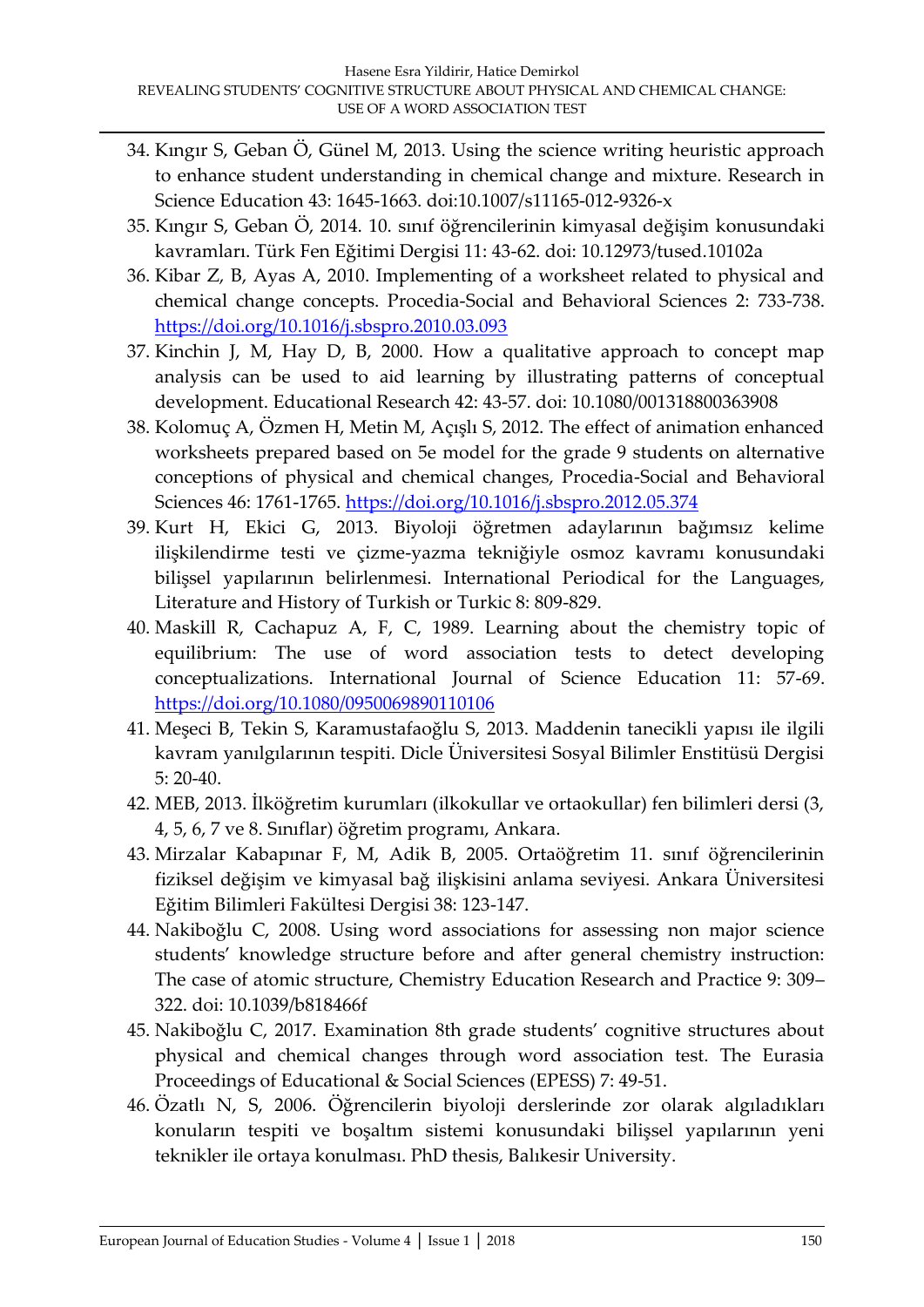- 34. Kıngır S, Geban Ö, Günel M, 2013. Using the science writing heuristic approach to enhance student understanding in chemical change and mixture. Research in Science Education 43: 1645-1663. doi:10.1007/s11165-012-9326-x
- 35. Kıngır S, Geban Ö, 2014. 10. sınıf öğrencilerinin kimyasal değişim konusundaki kavramları. Türk Fen Eğitimi Dergisi 11: 43-62. doi: 10.12973/tused.10102a
- 36. Kibar Z, B, Ayas A, 2010. Implementing of a worksheet related to physical and chemical change concepts. Procedia-Social and Behavioral Sciences 2: 733-738. <https://doi.org/10.1016/j.sbspro.2010.03.093>
- 37. Kinchin J, M, Hay D, B, 2000. How a qualitative approach to concept map analysis can be used to aid learning by illustrating patterns of conceptual development. Educational Research 42: 43-57. doi: 10.1080/001318800363908
- 38. Kolomuç A, Özmen H, Metin M, Açışlı S, 2012. The effect of animation enhanced worksheets prepared based on 5e model for the grade 9 students on alternative conceptions of physical and chemical changes, Procedia-Social and Behavioral Sciences 46: 1761-1765.<https://doi.org/10.1016/j.sbspro.2012.05.374>
- 39. Kurt H, Ekici G, 2013. Biyoloji öğretmen adaylarının bağımsız kelime ilişkilendirme testi ve çizme-yazma tekniğiyle osmoz kavramı konusundaki bilişsel yapılarının belirlenmesi. International Periodical for the Languages, Literature and History of Turkish or Turkic 8: 809-829.
- 40. Maskill R, Cachapuz A, F, C, 1989. Learning about the chemistry topic of equilibrium: The use of word association tests to detect developing conceptualizations. International Journal of Science Education 11: 57-69. <https://doi.org/10.1080/0950069890110106>
- 41. Meşeci B, Tekin S, Karamustafaoğlu S, 2013. Maddenin tanecikli yapısı ile ilgili kavram yanılgılarının tespiti. Dicle Üniversitesi Sosyal Bilimler Enstitüsü Dergisi 5: 20-40.
- 42. MEB, 2013. İlköğretim kurumları (ilkokullar ve ortaokullar) fen bilimleri dersi (3, 4, 5, 6, 7 ve 8. Sınıflar) öğretim programı, Ankara.
- 43. Mirzalar Kabapınar F, M, Adik B, 2005. Ortaöğretim 11. sınıf öğrencilerinin fiziksel değişim ve kimyasal bağ ilişkisini anlama seviyesi. Ankara Üniversitesi Eğitim Bilimleri Fakültesi Dergisi 38: 123-147.
- 44. Nakiboğlu C, 2008. Using word associations for assessing non major science students' knowledge structure before and after general chemistry instruction: The case of atomic structure, Chemistry Education Research and Practice 9: 309– 322. doi: 10.1039/b818466f
- 45. Nakiboğlu C, 2017. Examination 8th grade students' cognitive structures about physical and chemical changes through word association test. The Eurasia Proceedings of Educational & Social Sciences (EPESS) 7: 49-51.
- 46. Özatlı N, S, 2006. Öğrencilerin biyoloji derslerinde zor olarak algıladıkları konuların tespiti ve boşaltım sistemi konusundaki bilişsel yapılarının yeni teknikler ile ortaya konulması. PhD thesis, Balıkesir University.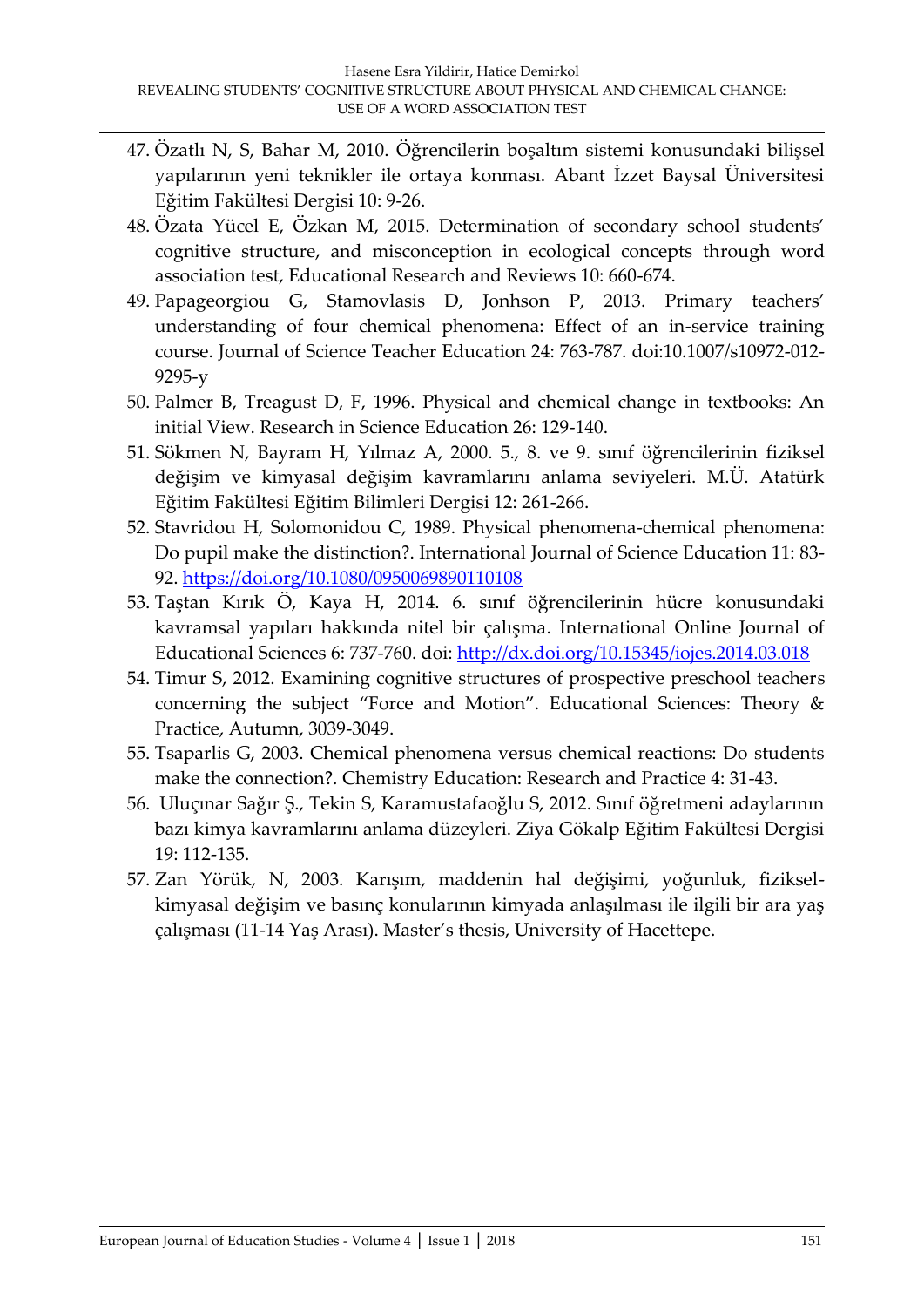- 47. Özatlı N, S, Bahar M, 2010. Öğrencilerin boşaltım sistemi konusundaki bilişsel yapılarının yeni teknikler ile ortaya konması. Abant İzzet Baysal Üniversitesi Eğitim Fakültesi Dergisi 10: 9-26.
- 48. Özata Yücel E, Özkan M, 2015. Determination of secondary school students' cognitive structure, and misconception in ecological concepts through word association test, Educational Research and Reviews 10: 660-674.
- 49. Papageorgiou G, Stamovlasis D, Jonhson P, 2013. Primary teachers' understanding of four chemical phenomena: Effect of an in-service training course. Journal of Science Teacher Education 24: 763-787. doi:10.1007/s10972-012- 9295-y
- 50. Palmer B, Treagust D, F, 1996. Physical and chemical change in textbooks: An initial View. Research in Science Education 26: 129-140.
- 51. Sökmen N, Bayram H, Yılmaz A, 2000. 5., 8. ve 9. sınıf öğrencilerinin fiziksel değişim ve kimyasal değişim kavramlarını anlama seviyeleri. M.Ü. Atatürk Eğitim Fakültesi Eğitim Bilimleri Dergisi 12: 261-266.
- 52. Stavridou H, Solomonidou C, 1989. Physical phenomena-chemical phenomena: Do pupil make the distinction?. International Journal of Science Education 11: 83- 92.<https://doi.org/10.1080/0950069890110108>
- 53. Taştan Kırık Ö, Kaya H, 2014. 6. sınıf öğrencilerinin hücre konusundaki kavramsal yapıları hakkında nitel bir çalışma. International Online Journal of Educational Sciences 6: 737-760. doi:<http://dx.doi.org/10.15345/iojes.2014.03.018>
- 54. Timur S, 2012. Examining cognitive structures of prospective preschool teachers concerning the subject 'Force and Motion'. Educational Sciences: Theory & Practice, Autumn, 3039-3049.
- 55. Tsaparlis G, 2003. Chemical phenomena versus chemical reactions: Do students make the connection?. Chemistry Education: Research and Practice 4: 31-43.
- 56. Uluçınar Sağır Ş., Tekin S, Karamustafaoğlu S, 2012. Sınıf öğretmeni adaylarının bazı kimya kavramlarını anlama düzeyleri. Ziya Gökalp Eğitim Fakültesi Dergisi 19: 112-135.
- 57. Zan Yörük, N, 2003. Karışım, maddenin hal değişimi, yoğunluk, fizikselkimyasal değişim ve basınç konularının kimyada anlaşılması ile ilgili bir ara yaş çalışması (11-14 Yaş Arası). Master's thesis, University of Hacettepe.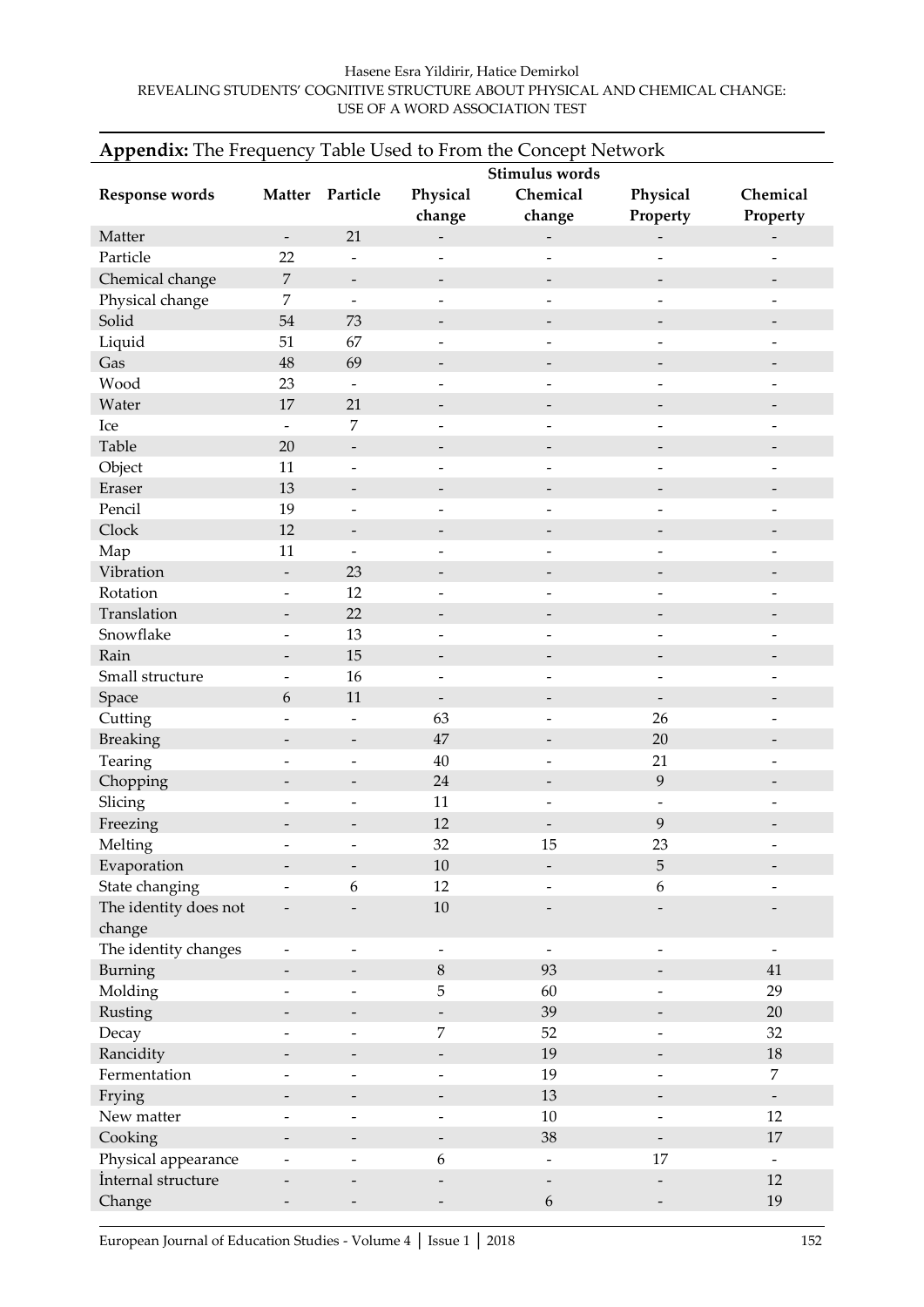#### Hasene Esra Yildirir, Hatice Demirkol REVEALING STUDENTS' COGNITIVE STRUCTURE ABOUT PHYSICAL AND CHEMICAL CHANGE: USE OF A WORD ASSOCIATION TEST

| Appendix: The Frequency Table Used to From the Concept Network |                          |                              |                                                      |                              |                               |                                |
|----------------------------------------------------------------|--------------------------|------------------------------|------------------------------------------------------|------------------------------|-------------------------------|--------------------------------|
|                                                                | Stimulus words           |                              |                                                      |                              |                               |                                |
| <b>Response words</b>                                          |                          | Matter Particle              | Physical                                             | Chemical                     | Physical                      | Chemical                       |
|                                                                |                          |                              | change                                               | change                       | Property                      | Property                       |
| Matter                                                         | $\overline{\phantom{a}}$ | 21                           | $\overline{\phantom{0}}$                             | $\qquad \qquad -$            |                               | $\overline{\phantom{a}}$       |
| Particle                                                       | 22                       | $\overline{a}$               | $\overline{a}$                                       | $\overline{\phantom{a}}$     | $\overline{a}$                |                                |
| Chemical change                                                | $\overline{7}$           | $\qquad \qquad -$            | $\overline{\phantom{a}}$                             | $\overline{\phantom{m}}$     | $\overline{\phantom{a}}$      |                                |
| Physical change                                                | $\overline{7}$           | $\overline{a}$               | $\overline{a}$                                       | $\overline{\phantom{a}}$     | $\overline{a}$                |                                |
| Solid                                                          | 54                       | 73                           | $\overline{\phantom{a}}$                             | $\qquad \qquad -$            | $\qquad \qquad -$             |                                |
| Liquid                                                         | 51                       | 67                           | $\overline{a}$                                       |                              |                               |                                |
| Gas                                                            | 48                       | 69                           | $\overline{\phantom{a}}$                             | $\overline{\phantom{a}}$     | $\qquad \qquad -$             |                                |
| Wood                                                           | 23                       | $\qquad \qquad -$            | $\overline{a}$                                       | ٠                            | $\overline{\phantom{0}}$      |                                |
| Water                                                          | 17                       | 21                           | $\qquad \qquad -$                                    | $\overline{\phantom{a}}$     | $\overline{\phantom{a}}$      |                                |
| Ice                                                            | $\overline{\phantom{a}}$ | 7                            | $\overline{a}$                                       | $\overline{\phantom{0}}$     | $\overline{a}$                |                                |
| Table                                                          | 20                       | $\overline{\phantom{a}}$     | $\overline{\phantom{a}}$                             | $\overline{\phantom{m}}$     | $\overline{\phantom{a}}$      |                                |
| Object                                                         | 11                       | $\overline{a}$               | $\overline{a}$                                       | $\overline{a}$               | L.                            |                                |
| Eraser                                                         | 13                       | $\overline{\phantom{a}}$     | -                                                    | $\qquad \qquad -$            | $\qquad \qquad -$             |                                |
| Pencil                                                         | 19                       | $\overline{a}$               | $\overline{a}$                                       |                              |                               |                                |
| Clock                                                          | 12                       | $\qquad \qquad -$            | $\qquad \qquad -$                                    | $\overline{\phantom{a}}$     | $\overline{\phantom{0}}$      |                                |
| Map                                                            | 11                       | $\overline{a}$               | $\overline{a}$                                       | $\overline{\phantom{0}}$     | $\overline{\phantom{0}}$      | $\overline{\phantom{0}}$       |
| Vibration                                                      | $\overline{\phantom{a}}$ | 23                           | -                                                    | $\overline{\phantom{a}}$     | -                             |                                |
| Rotation                                                       | $\overline{a}$           | 12                           | $\overline{a}$                                       |                              |                               |                                |
| Translation                                                    | $\overline{\phantom{a}}$ | 22                           | $\overline{\phantom{m}}$                             | $\overline{\phantom{a}}$     | $\qquad \qquad -$             |                                |
| Snowflake                                                      |                          | 13                           | $\overline{a}$                                       |                              |                               |                                |
| Rain                                                           | $\overline{\phantom{a}}$ | 15                           | $\qquad \qquad -$                                    | $\qquad \qquad -$            | $\qquad \qquad -$             |                                |
| Small structure                                                |                          | 16                           | $\overline{a}$                                       |                              |                               |                                |
| Space                                                          | 6                        | 11                           | $\overline{\phantom{a}}$                             | $\overline{\phantom{a}}$     | $\overline{\phantom{a}}$      |                                |
| Cutting                                                        |                          | $\overline{a}$               | 63                                                   | $\overline{\phantom{a}}$     | 26                            | $\overline{\phantom{0}}$       |
| <b>Breaking</b>                                                | $\qquad \qquad -$        | $\qquad \qquad -$            | 47                                                   | $\overline{\phantom{a}}$     | 20                            |                                |
| Tearing                                                        |                          | $\overline{a}$               | 40                                                   | $\overline{\phantom{a}}$     | 21                            |                                |
| Chopping                                                       |                          | $\overline{\phantom{0}}$     | 24                                                   | $\overline{\phantom{m}}$     | 9                             |                                |
| Slicing                                                        |                          | $\qquad \qquad \blacksquare$ | 11                                                   | $\overline{\phantom{m}}$     | $\overline{\phantom{a}}$      |                                |
| Freezing                                                       |                          | $\overline{a}$               | 12                                                   | $\overline{\phantom{a}}$     | 9                             |                                |
| Melting                                                        |                          |                              | 32                                                   | 15                           | 23                            |                                |
| Evaporation                                                    |                          |                              | $10\,$                                               |                              | 5                             |                                |
| State changing                                                 |                          | 6                            | 12                                                   |                              | 6                             |                                |
| The identity does not                                          |                          |                              | $10\,$                                               |                              |                               |                                |
| change                                                         |                          |                              |                                                      |                              |                               |                                |
| The identity changes                                           |                          | -                            | $\overline{\phantom{a}}$                             | $\overline{\phantom{a}}$     | $\qquad \qquad -$             |                                |
| Burning                                                        | $\overline{\phantom{0}}$ | $\overline{\phantom{0}}$     | $\,8\,$                                              | 93                           | $\overline{\phantom{m}}$      | $41\,$                         |
| Molding                                                        | $\overline{\phantom{0}}$ | $\overline{a}$               | $\mathbf 5$                                          | 60                           | $\bar{\phantom{a}}$           | 29                             |
| Rusting                                                        |                          |                              | $\overline{\phantom{0}}$                             | 39                           |                               | 20                             |
| Decay                                                          | $\overline{\phantom{0}}$ | $\overline{\phantom{0}}$     | $\overline{7}$                                       | 52                           | $\overline{\phantom{a}}$      | 32                             |
| Rancidity                                                      |                          |                              |                                                      | 19                           |                               | 18                             |
| Fermentation                                                   |                          | -<br>$\overline{a}$          | $\overline{\phantom{a}}$<br>$\overline{\phantom{0}}$ | 19                           | -<br>$\overline{\phantom{0}}$ | 7                              |
|                                                                |                          |                              |                                                      | 13                           |                               |                                |
| Frying<br>New matter                                           |                          |                              |                                                      | $10\,$                       |                               | $\overline{\phantom{a}}$<br>12 |
|                                                                |                          | -                            | $\overline{a}$                                       |                              | -                             |                                |
| Cooking                                                        |                          | -                            | $\overline{\phantom{0}}$                             | 38                           | $\overline{\phantom{0}}$      | 17                             |
| Physical appearance                                            |                          | -                            | 6                                                    | $\qquad \qquad \blacksquare$ | 17                            | $\overline{\phantom{a}}$       |
| İnternal structure                                             |                          |                              |                                                      |                              |                               | 12                             |
| Change                                                         |                          |                              |                                                      | 6                            |                               | 19                             |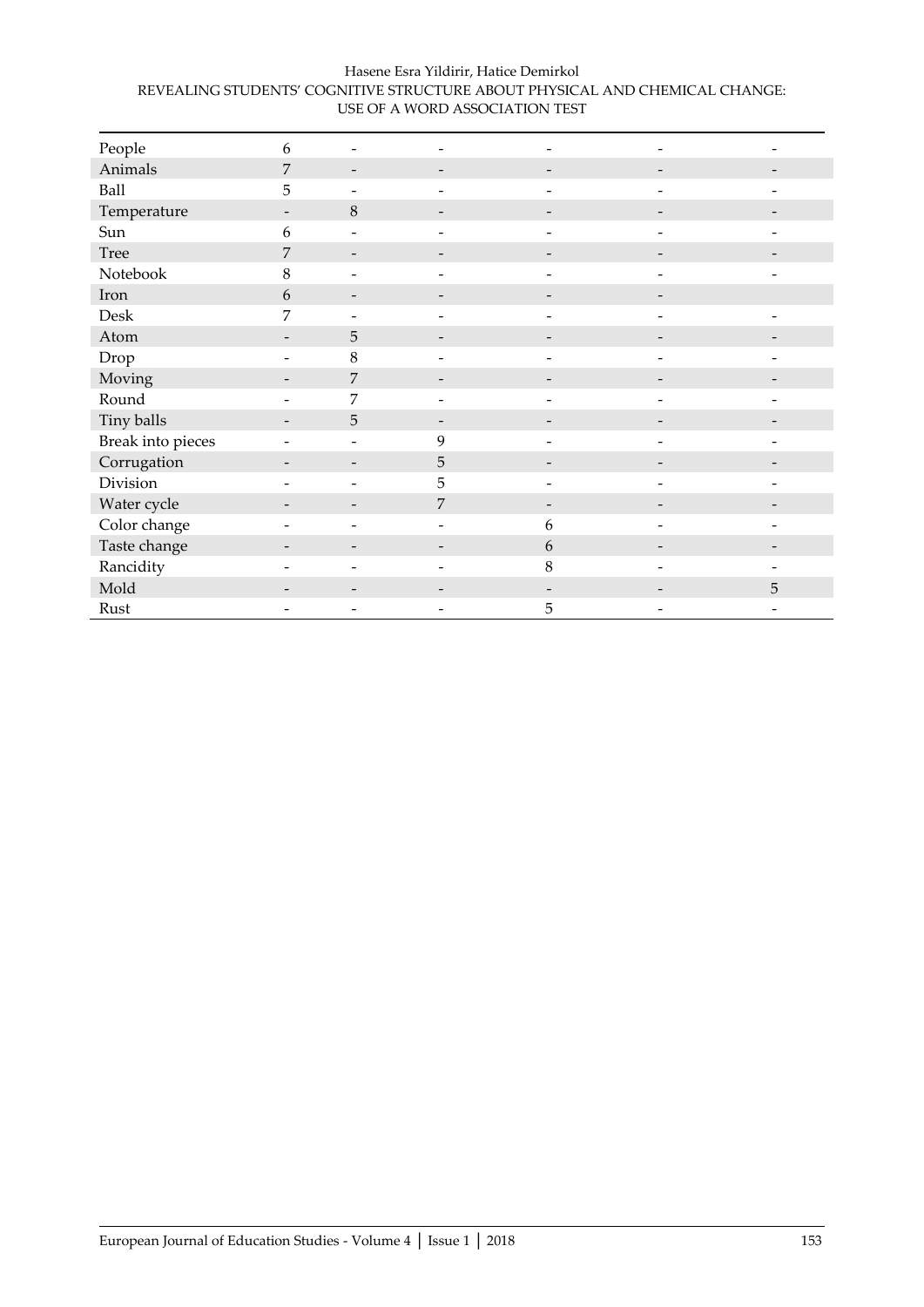| Hasene Esra Yildirir, Hatice Demirkol                                       |  |
|-----------------------------------------------------------------------------|--|
| REVEALING STUDENTS' COGNITIVE STRUCTURE ABOUT PHYSICAL AND CHEMICAL CHANGE: |  |
| USE OF A WORD ASSOCIATION TEST                                              |  |

| People            | 6                        |                          |                          |   |                          |   |
|-------------------|--------------------------|--------------------------|--------------------------|---|--------------------------|---|
| Animals           | 7                        | $\qquad \qquad -$        | -                        |   |                          |   |
| Ball              | 5                        | $\overline{\phantom{0}}$ |                          |   | L.                       |   |
| Temperature       |                          | $\,8\,$                  |                          |   |                          |   |
| Sun               | 6                        | ٠                        |                          |   |                          |   |
| Tree              | 7                        | $\qquad \qquad -$        | $\overline{\phantom{a}}$ |   | $\overline{\phantom{a}}$ |   |
| Notebook          | $\,8\,$                  | $\overline{\phantom{0}}$ |                          |   |                          |   |
| Iron              | 6                        | $\overline{\phantom{0}}$ |                          |   |                          |   |
| Desk              | $\overline{7}$           |                          |                          |   |                          |   |
| Atom              |                          | 5                        |                          |   |                          |   |
| Drop              |                          | $\,8\,$                  | ۰                        |   |                          |   |
| Moving            |                          | 7                        |                          |   |                          |   |
| Round             |                          | 7                        |                          |   |                          |   |
| Tiny balls        | $\overline{\phantom{a}}$ | $\sqrt{5}$               | $\overline{\phantom{a}}$ |   |                          |   |
| Break into pieces |                          | $\overline{\phantom{0}}$ | 9                        |   | $\overline{\phantom{a}}$ |   |
| Corrugation       |                          | $\overline{\phantom{0}}$ | $\overline{5}$           |   |                          |   |
| Division          |                          |                          | 5                        |   |                          |   |
| Water cycle       | -                        | -                        | $\overline{7}$           |   |                          |   |
| Color change      |                          | $\overline{\phantom{0}}$ | $\overline{\phantom{a}}$ | 6 | $\overline{\phantom{0}}$ |   |
| Taste change      |                          |                          |                          | 6 | $\overline{\phantom{0}}$ |   |
| Rancidity         |                          | ۰                        |                          | 8 |                          |   |
| Mold              |                          |                          |                          |   |                          | 5 |
| Rust              |                          |                          | -                        | 5 | -                        |   |